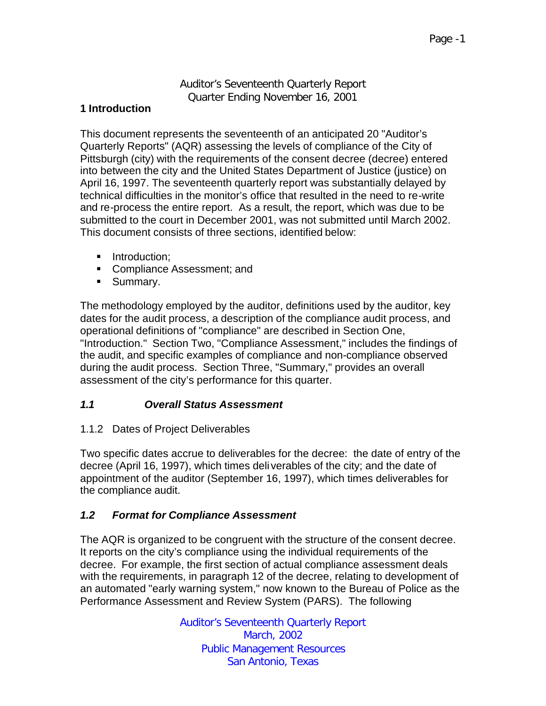Auditor's Seventeenth Quarterly Report Quarter Ending November 16, 2001

## **1 Introduction**

This document represents the seventeenth of an anticipated 20 "Auditor's Quarterly Reports" (AQR) assessing the levels of compliance of the City of Pittsburgh (city) with the requirements of the consent decree (decree) entered into between the city and the United States Department of Justice (justice) on April 16, 1997. The seventeenth quarterly report was substantially delayed by technical difficulties in the monitor's office that resulted in the need to re-write and re-process the entire report. As a result, the report, which was due to be submitted to the court in December 2001, was not submitted until March 2002. This document consists of three sections, identified below:

- **Introduction:**
- Compliance Assessment; and
- **Summary.**

The methodology employed by the auditor, definitions used by the auditor, key dates for the audit process, a description of the compliance audit process, and operational definitions of "compliance" are described in Section One, "Introduction." Section Two, "Compliance Assessment," includes the findings of the audit, and specific examples of compliance and non-compliance observed during the audit process. Section Three, "Summary," provides an overall assessment of the city's performance for this quarter.

## *1.1 Overall Status Assessment*

#### 1.1.2 Dates of Project Deliverables

Two specific dates accrue to deliverables for the decree: the date of entry of the decree (April 16, 1997), which times deli verables of the city; and the date of appointment of the auditor (September 16, 1997), which times deliverables for the compliance audit.

## *1.2 Format for Compliance Assessment*

The AQR is organized to be congruent with the structure of the consent decree. It reports on the city's compliance using the individual requirements of the decree. For example, the first section of actual compliance assessment deals with the requirements, in paragraph 12 of the decree, relating to development of an automated "early warning system," now known to the Bureau of Police as the Performance Assessment and Review System (PARS). The following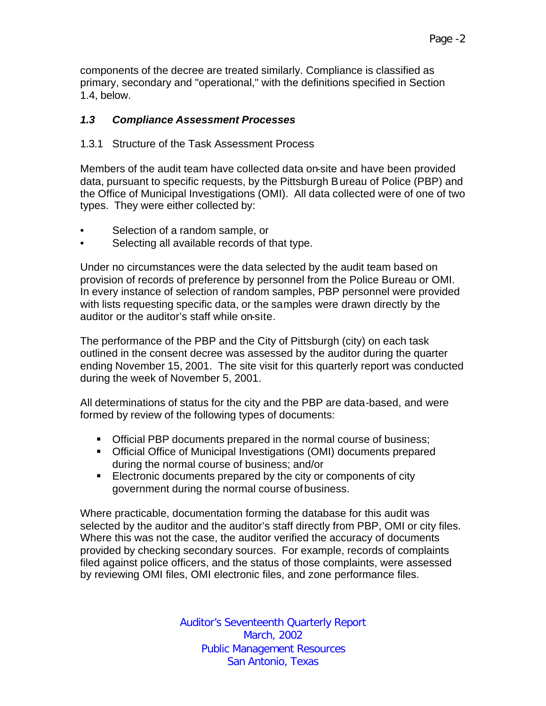components of the decree are treated similarly. Compliance is classified as primary, secondary and "operational," with the definitions specified in Section 1.4, below.

## *1.3 Compliance Assessment Processes*

## 1.3.1 Structure of the Task Assessment Process

Members of the audit team have collected data on-site and have been provided data, pursuant to specific requests, by the Pittsburgh Bureau of Police (PBP) and the Office of Municipal Investigations (OMI). All data collected were of one of two types. They were either collected by:

- Selection of a random sample, or
- Selecting all available records of that type.

Under no circumstances were the data selected by the audit team based on provision of records of preference by personnel from the Police Bureau or OMI. In every instance of selection of random samples, PBP personnel were provided with lists requesting specific data, or the samples were drawn directly by the auditor or the auditor's staff while on-site.

The performance of the PBP and the City of Pittsburgh (city) on each task outlined in the consent decree was assessed by the auditor during the quarter ending November 15, 2001. The site visit for this quarterly report was conducted during the week of November 5, 2001.

All determinations of status for the city and the PBP are data-based, and were formed by review of the following types of documents:

- **Official PBP documents prepared in the normal course of business;**
- **Official Office of Municipal Investigations (OMI) documents prepared** during the normal course of business; and/or
- **Electronic documents prepared by the city or components of city** government during the normal course of business.

Where practicable, documentation forming the database for this audit was selected by the auditor and the auditor's staff directly from PBP, OMI or city files. Where this was not the case, the auditor verified the accuracy of documents provided by checking secondary sources. For example, records of complaints filed against police officers, and the status of those complaints, were assessed by reviewing OMI files, OMI electronic files, and zone performance files.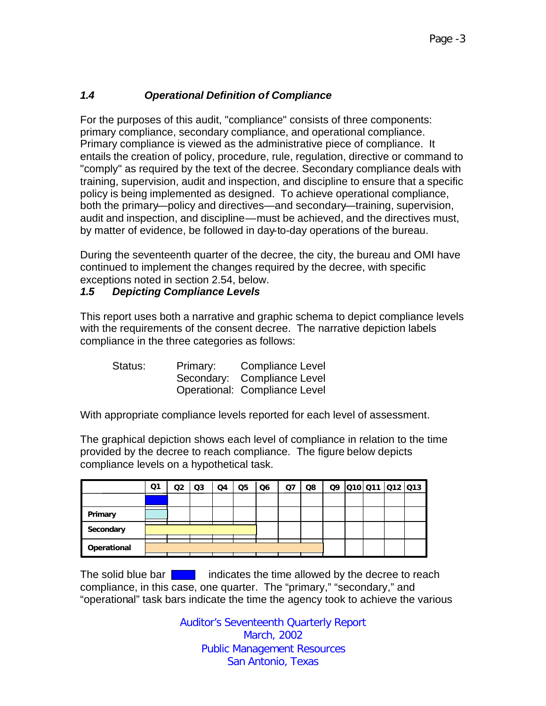# *1.4 Operational Definition of Compliance*

For the purposes of this audit, "compliance" consists of three components: primary compliance, secondary compliance, and operational compliance. Primary compliance is viewed as the administrative piece of compliance. It entails the creation of policy, procedure, rule, regulation, directive or command to "comply" as required by the text of the decree. Secondary compliance deals with training, supervision, audit and inspection, and discipline to ensure that a specific policy is being implemented as designed. To achieve operational compliance, both the primary—policy and directives—and secondary—training, supervision, audit and inspection, and discipline—must be achieved, and the directives must, by matter of evidence, be followed in day-to-day operations of the bureau.

During the seventeenth quarter of the decree, the city, the bureau and OMI have continued to implement the changes required by the decree, with specific exceptions noted in section 2.54, below.

## *1.5 Depicting Compliance Levels*

This report uses both a narrative and graphic schema to depict compliance levels with the requirements of the consent decree. The narrative depiction labels compliance in the three categories as follows:

| Status: | Primary: | <b>Compliance Level</b>       |
|---------|----------|-------------------------------|
|         |          | Secondary: Compliance Level   |
|         |          | Operational: Compliance Level |

With appropriate compliance levels reported for each level of assessment.

The graphical depiction shows each level of compliance in relation to the time provided by the decree to reach compliance. The figure below depicts compliance levels on a hypothetical task.

|             | Q1 | Q <sub>2</sub> | $\Omega$ | Q4 | Q <sub>5</sub> | Q <sub>6</sub> | Ω7 | Q8 | Q9 | Q10Q11Q12Q13 |  |
|-------------|----|----------------|----------|----|----------------|----------------|----|----|----|--------------|--|
|             |    |                |          |    |                |                |    |    |    |              |  |
| Primary     |    |                |          |    |                |                |    |    |    |              |  |
| Secondary   |    |                |          |    |                |                |    |    |    |              |  |
| Operational |    |                |          |    |                |                |    |    |    |              |  |

The solid blue bar  $\begin{bmatrix} 1 & 1 \\ 1 & 1 \end{bmatrix}$  indicates the time allowed by the decree to reach compliance, in this case, one quarter. The "primary," "secondary," and "operational" task bars indicate the time the agency took to achieve the various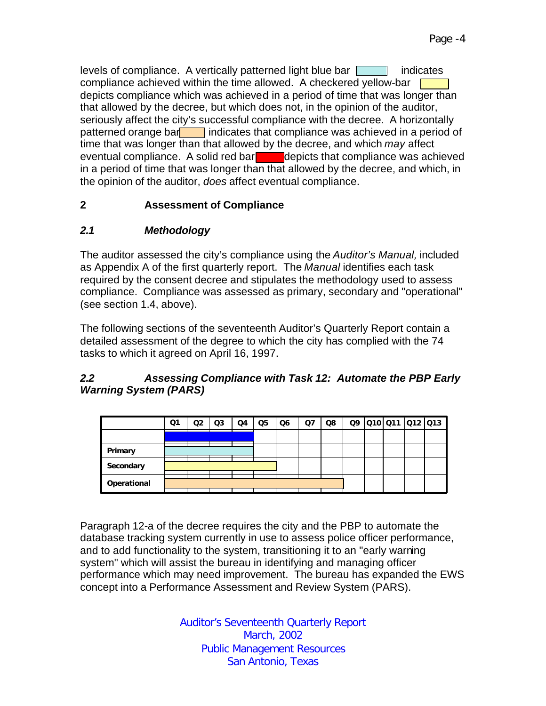levels of compliance. A vertically patterned light blue bar  $\Box$  indicates compliance achieved within the time allowed. A checkered yellow-bar  $\square$ depicts compliance which was achieved in a period of time that was longer than that allowed by the decree, but which does not, in the opinion of the auditor, seriously affect the city's successful compliance with the decree. A horizontally patterned orange bar indicates that compliance was achieved in a period of time that was longer than that allowed by the decree, and which *may* affect eventual compliance. A solid red bare depicts that compliance was achieved in a period of time that was longer than that allowed by the decree, and which, in the opinion of the auditor, *does* affect eventual compliance.

# **2 Assessment of Compliance**

# *2.1 Methodology*

The auditor assessed the city's compliance using the *Auditor's Manual,* included as Appendix A of the first quarterly report. The *Manual* identifies each task required by the consent decree and stipulates the methodology used to assess compliance. Compliance was assessed as primary, secondary and "operational" (see section 1.4, above).

The following sections of the seventeenth Auditor's Quarterly Report contain a detailed assessment of the degree to which the city has complied with the 74 tasks to which it agreed on April 16, 1997.

# *2.2 Assessing Compliance with Task 12: Automate the PBP Early Warning System (PARS)*

|             | Q1 | Q2 | Q3 | Q4 | Q5 | Q6 | Q7 | Q8 |  | Q9 010 011 012 013 |  |
|-------------|----|----|----|----|----|----|----|----|--|--------------------|--|
|             |    |    |    |    |    |    |    |    |  |                    |  |
| Primary     |    |    |    |    |    |    |    |    |  |                    |  |
| Secondary   |    |    |    |    |    |    |    |    |  |                    |  |
| Operational |    |    |    |    |    |    |    |    |  |                    |  |

Paragraph 12-a of the decree requires the city and the PBP to automate the database tracking system currently in use to assess police officer performance, and to add functionality to the system, transitioning it to an "early warning system" which will assist the bureau in identifying and managing officer performance which may need improvement. The bureau has expanded the EWS concept into a Performance Assessment and Review System (PARS).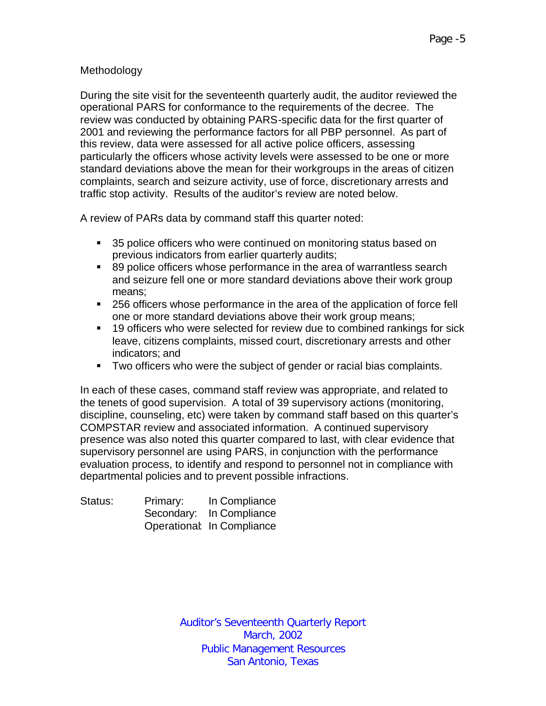## Methodology

During the site visit for the seventeenth quarterly audit, the auditor reviewed the operational PARS for conformance to the requirements of the decree. The review was conducted by obtaining PARS-specific data for the first quarter of 2001 and reviewing the performance factors for all PBP personnel. As part of this review, data were assessed for all active police officers, assessing particularly the officers whose activity levels were assessed to be one or more standard deviations above the mean for their workgroups in the areas of citizen complaints, search and seizure activity, use of force, discretionary arrests and traffic stop activity. Results of the auditor's review are noted below.

A review of PARs data by command staff this quarter noted:

- **5** 35 police officers who were continued on monitoring status based on previous indicators from earlier quarterly audits;
- 89 police officers whose performance in the area of warrantless search and seizure fell one or more standard deviations above their work group means;
- **256 officers whose performance in the area of the application of force fell** one or more standard deviations above their work group means;
- **19 officers who were selected for review due to combined rankings for sick** leave, citizens complaints, missed court, discretionary arrests and other indicators; and
- **Two officers who were the subject of gender or racial bias complaints.**

In each of these cases, command staff review was appropriate, and related to the tenets of good supervision. A total of 39 supervisory actions (monitoring, discipline, counseling, etc) were taken by command staff based on this quarter's COMPSTAR review and associated information. A continued supervisory presence was also noted this quarter compared to last, with clear evidence that supervisory personnel are using PARS, in conjunction with the performance evaluation process, to identify and respond to personnel not in compliance with departmental policies and to prevent possible infractions.

| Status: | Primary: | In Compliance              |
|---------|----------|----------------------------|
|         |          | Secondary: In Compliance   |
|         |          | Operational: In Compliance |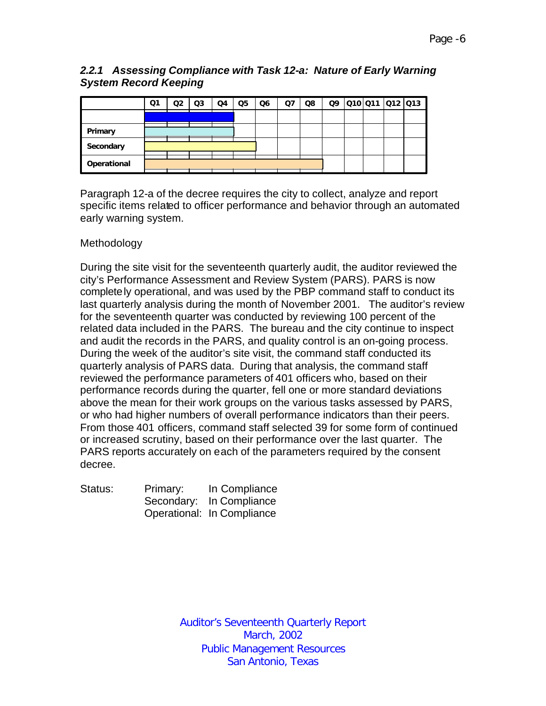## *2.2.1 Assessing Compliance with Task 12-a: Nature of Early Warning System Record Keeping*

|             | Q1 | Q2 | Q <sub>3</sub> | Q4 | Q <sub>5</sub> | Q <sub>6</sub> | Q <sub>7</sub> | Q8 | Q9 | Q10 Q11 Q12 Q13 |  |
|-------------|----|----|----------------|----|----------------|----------------|----------------|----|----|-----------------|--|
|             |    |    |                |    |                |                |                |    |    |                 |  |
| Primary     |    |    |                |    |                |                |                |    |    |                 |  |
| Secondary   |    |    |                |    |                |                |                |    |    |                 |  |
| Operational |    |    |                |    |                |                |                |    |    |                 |  |

Paragraph 12-a of the decree requires the city to collect, analyze and report specific items related to officer performance and behavior through an automated early warning system.

## Methodology

During the site visit for the seventeenth quarterly audit, the auditor reviewed the city's Performance Assessment and Review System (PARS). PARS is now completely operational, and was used by the PBP command staff to conduct its last quarterly analysis during the month of November 2001. The auditor's review for the seventeenth quarter was conducted by reviewing 100 percent of the related data included in the PARS. The bureau and the city continue to inspect and audit the records in the PARS, and quality control is an on-going process. During the week of the auditor's site visit, the command staff conducted its quarterly analysis of PARS data. During that analysis, the command staff reviewed the performance parameters of 401 officers who, based on their performance records during the quarter, fell one or more standard deviations above the mean for their work groups on the various tasks assessed by PARS, or who had higher numbers of overall performance indicators than their peers. From those 401 officers, command staff selected 39 for some form of continued or increased scrutiny, based on their performance over the last quarter. The PARS reports accurately on each of the parameters required by the consent decree.

| Status: | Primary: | In Compliance              |
|---------|----------|----------------------------|
|         |          | Secondary: In Compliance   |
|         |          | Operational: In Compliance |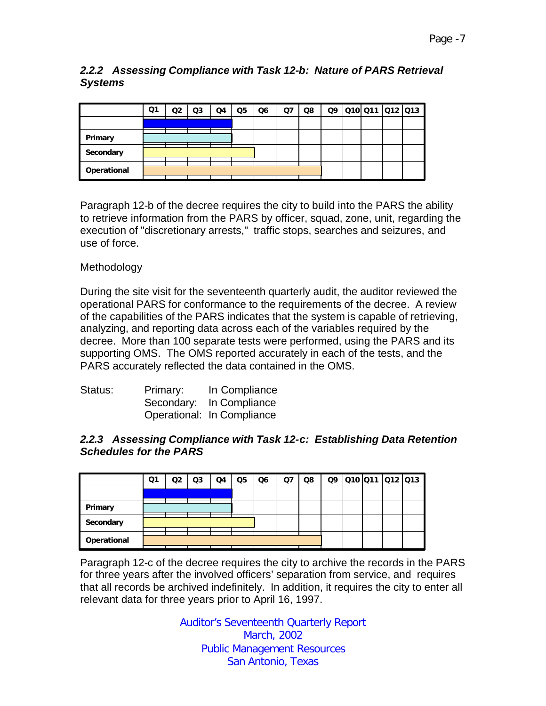## *2.2.2 Assessing Compliance with Task 12-b: Nature of PARS Retrieval Systems*

|             | Q1 | Q2 | Q3 | Q4 | Q <sub>5</sub> | Q <sub>6</sub> | Q7 | Q8 | Q9 | 010 011 012 013 |  |
|-------------|----|----|----|----|----------------|----------------|----|----|----|-----------------|--|
|             |    |    |    |    |                |                |    |    |    |                 |  |
| Primary     |    |    |    |    |                |                |    |    |    |                 |  |
| Secondary   |    |    |    |    |                |                |    |    |    |                 |  |
| Operational |    |    |    |    |                |                |    |    |    |                 |  |

Paragraph 12-b of the decree requires the city to build into the PARS the ability to retrieve information from the PARS by officer, squad, zone, unit, regarding the execution of "discretionary arrests," traffic stops, searches and seizures, and use of force.

## Methodology

During the site visit for the seventeenth quarterly audit, the auditor reviewed the operational PARS for conformance to the requirements of the decree. A review of the capabilities of the PARS indicates that the system is capable of retrieving, analyzing, and reporting data across each of the variables required by the decree. More than 100 separate tests were performed, using the PARS and its supporting OMS. The OMS reported accurately in each of the tests, and the PARS accurately reflected the data contained in the OMS.

| Status: | Primary: | In Compliance              |
|---------|----------|----------------------------|
|         |          | Secondary: In Compliance   |
|         |          | Operational: In Compliance |

#### *2.2.3 Assessing Compliance with Task 12-c: Establishing Data Retention Schedules for the PARS*

|             | Q1 | Q2 | Q3 | Q4 | Q5 | Q <sub>6</sub> | Q7 | Q8 | Q9 |  | Q10 Q11 Q12 Q13 |  |
|-------------|----|----|----|----|----|----------------|----|----|----|--|-----------------|--|
|             |    |    |    |    |    |                |    |    |    |  |                 |  |
| Primary     |    |    |    |    |    |                |    |    |    |  |                 |  |
| Secondary   |    |    |    |    |    |                |    |    |    |  |                 |  |
| Operational |    |    |    |    |    |                |    |    |    |  |                 |  |

Paragraph 12-c of the decree requires the city to archive the records in the PARS for three years after the involved officers' separation from service, and requires that all records be archived indefinitely. In addition, it requires the city to enter all relevant data for three years prior to April 16, 1997.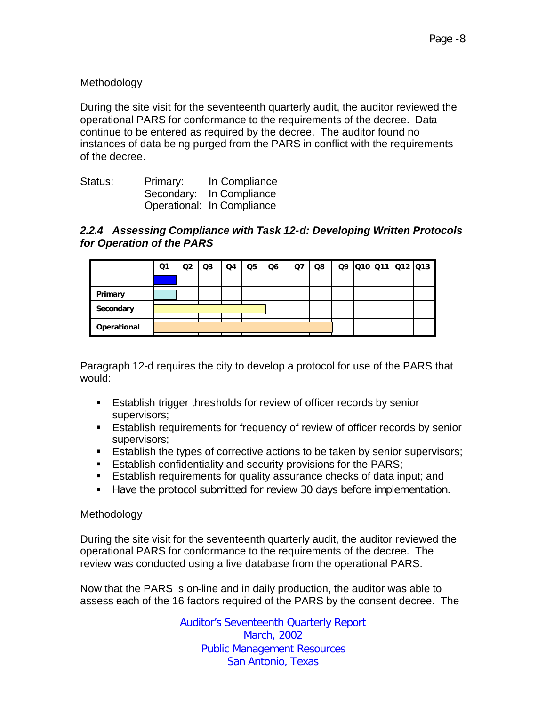## Methodology

During the site visit for the seventeenth quarterly audit, the auditor reviewed the operational PARS for conformance to the requirements of the decree. Data continue to be entered as required by the decree. The auditor found no instances of data being purged from the PARS in conflict with the requirements of the decree.

| Status: | Primary: | In Compliance              |
|---------|----------|----------------------------|
|         |          | Secondary: In Compliance   |
|         |          | Operational: In Compliance |

## *2.2.4 Assessing Compliance with Task 12-d: Developing Written Protocols for Operation of the PARS*

|             | Q1 | Q2 | Q <sub>3</sub> | Q4 | Q <sub>5</sub> | Q6 | Q7 | Q8 |  | Q9 Q10 Q11 Q12 Q13 |  |
|-------------|----|----|----------------|----|----------------|----|----|----|--|--------------------|--|
|             |    |    |                |    |                |    |    |    |  |                    |  |
| Primary     |    |    |                |    |                |    |    |    |  |                    |  |
| Secondary   |    |    |                |    |                |    |    |    |  |                    |  |
| Operational |    |    |                |    |                |    |    |    |  |                    |  |

Paragraph 12-d requires the city to develop a protocol for use of the PARS that would:

- **Establish trigger thresholds for review of officer records by senior** supervisors;
- **Establish requirements for frequency of review of officer records by senior** supervisors;
- **Establish the types of corrective actions to be taken by senior supervisors;**
- **Establish confidentiality and security provisions for the PARS;**
- **Establish requirements for quality assurance checks of data input; and**
- Have the protocol submitted for review 30 days before implementation.

#### Methodology

During the site visit for the seventeenth quarterly audit, the auditor reviewed the operational PARS for conformance to the requirements of the decree. The review was conducted using a live database from the operational PARS.

Now that the PARS is on-line and in daily production, the auditor was able to assess each of the 16 factors required of the PARS by the consent decree. The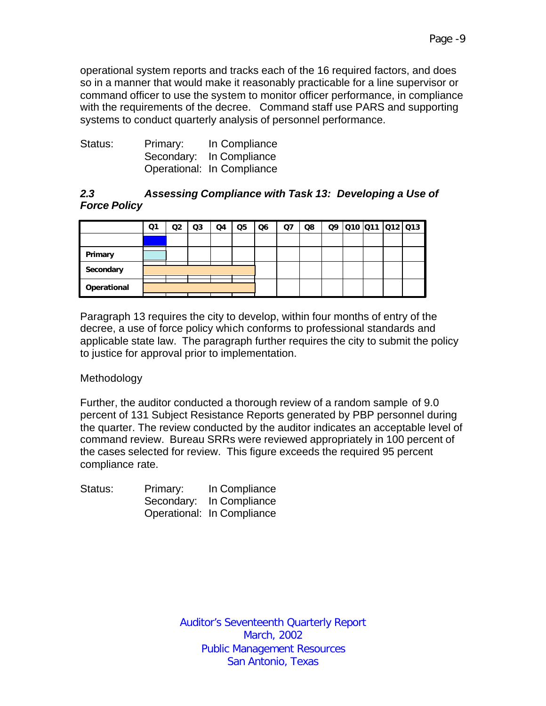operational system reports and tracks each of the 16 required factors, and does so in a manner that would make it reasonably practicable for a line supervisor or command officer to use the system to monitor officer performance, in compliance with the requirements of the decree. Command staff use PARS and supporting systems to conduct quarterly analysis of personnel performance.

| Status: | Primary: | In Compliance              |
|---------|----------|----------------------------|
|         |          | Secondary: In Compliance   |
|         |          | Operational: In Compliance |

## *2.3 Assessing Compliance with Task 13: Developing a Use of Force Policy*

|             | Ο1 | Q2 | Q3 | Q4 | Q <sub>5</sub> | Q <sub>6</sub> | <b>Q7</b> | Q8 | Q9 | 010 011 012 013 |  |  |
|-------------|----|----|----|----|----------------|----------------|-----------|----|----|-----------------|--|--|
|             |    |    |    |    |                |                |           |    |    |                 |  |  |
| Primary     |    |    |    |    |                |                |           |    |    |                 |  |  |
| Secondary   |    |    |    |    |                |                |           |    |    |                 |  |  |
| Operational |    |    |    |    |                |                |           |    |    |                 |  |  |

Paragraph 13 requires the city to develop, within four months of entry of the decree, a use of force policy which conforms to professional standards and applicable state law. The paragraph further requires the city to submit the policy to justice for approval prior to implementation.

## Methodology

Further, the auditor conducted a thorough review of a random sample of 9.0 percent of 131 Subject Resistance Reports generated by PBP personnel during the quarter. The review conducted by the auditor indicates an acceptable level of command review. Bureau SRRs were reviewed appropriately in 100 percent of the cases selected for review. This figure exceeds the required 95 percent compliance rate.

| Status: | Primary: | In Compliance              |
|---------|----------|----------------------------|
|         |          | Secondary: In Compliance   |
|         |          | Operational: In Compliance |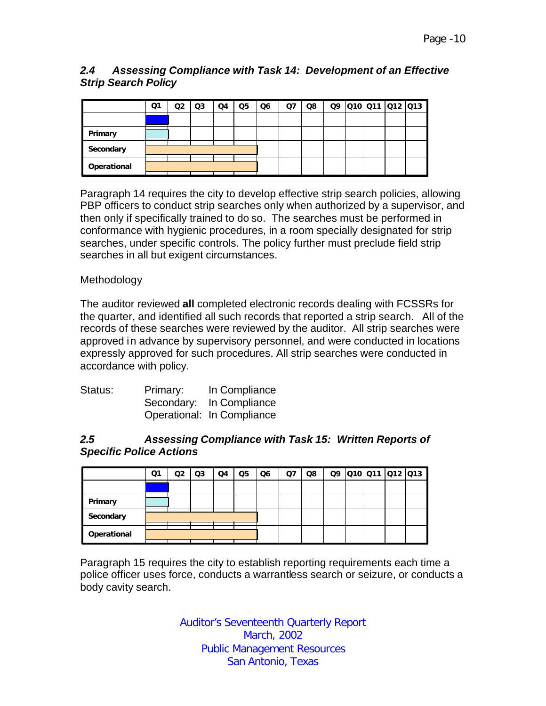## *2.4 Assessing Compliance with Task 14: Development of an Effective Strip Search Policy*

|             | Q1 | ია | Q3 | Q4 | Q <sub>5</sub> | Q6 | Q7 | Q8 |  | Q9 010 011 012 013 |  |
|-------------|----|----|----|----|----------------|----|----|----|--|--------------------|--|
|             |    |    |    |    |                |    |    |    |  |                    |  |
| Primary     |    |    |    |    |                |    |    |    |  |                    |  |
| Secondary   |    |    |    |    |                |    |    |    |  |                    |  |
| Operational |    |    |    |    |                |    |    |    |  |                    |  |

Paragraph 14 requires the city to develop effective strip search policies, allowing PBP officers to conduct strip searches only when authorized by a supervisor, and then only if specifically trained to do so. The searches must be performed in conformance with hygienic procedures, in a room specially designated for strip searches, under specific controls. The policy further must preclude field strip searches in all but exigent circumstances.

## Methodology

The auditor reviewed **all** completed electronic records dealing with FCSSRs for the quarter, and identified all such records that reported a strip search. All of the records of these searches were reviewed by the auditor. All strip searches were approved in advance by supervisory personnel, and were conducted in locations expressly approved for such procedures. All strip searches were conducted in accordance with policy.

| Status: | Primary: | In Compliance              |
|---------|----------|----------------------------|
|         |          | Secondary: In Compliance   |
|         |          | Operational: In Compliance |

#### *2.5 Assessing Compliance with Task 15: Written Reports of Specific Police Actions*

|             | Q1 | Q2 | Q3 | Q4 | Q5 | Q6 | Q7 | Q8 |  | Q9 010 011 012 013 |  |
|-------------|----|----|----|----|----|----|----|----|--|--------------------|--|
|             |    |    |    |    |    |    |    |    |  |                    |  |
| Primary     |    |    |    |    |    |    |    |    |  |                    |  |
| Secondary   |    |    |    |    |    |    |    |    |  |                    |  |
| Operational |    |    |    |    |    |    |    |    |  |                    |  |

Paragraph 15 requires the city to establish reporting requirements each time a police officer uses force, conducts a warrantless search or seizure, or conducts a body cavity search.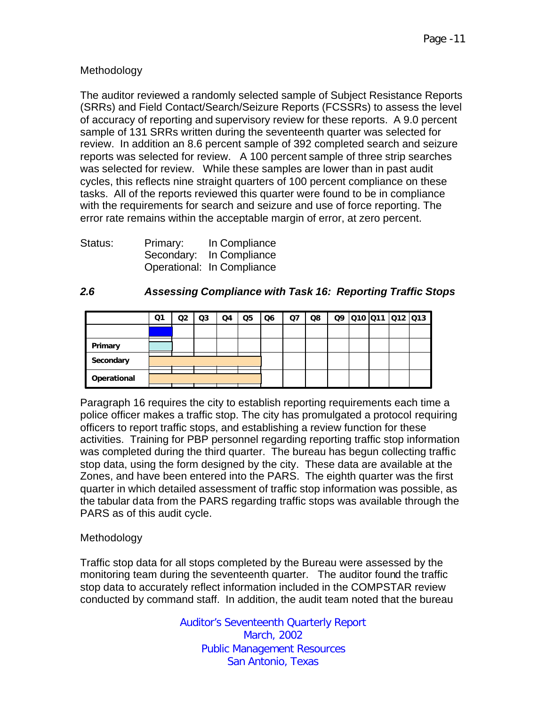## Methodology

The auditor reviewed a randomly selected sample of Subject Resistance Reports (SRRs) and Field Contact/Search/Seizure Reports (FCSSRs) to assess the level of accuracy of reporting and supervisory review for these reports. A 9.0 percent sample of 131 SRRs written during the seventeenth quarter was selected for review. In addition an 8.6 percent sample of 392 completed search and seizure reports was selected for review. A 100 percent sample of three strip searches was selected for review. While these samples are lower than in past audit cycles, this reflects nine straight quarters of 100 percent compliance on these tasks. All of the reports reviewed this quarter were found to be in compliance with the requirements for search and seizure and use of force reporting. The error rate remains within the acceptable margin of error, at zero percent.

| Status: | Primary: | In Compliance              |
|---------|----------|----------------------------|
|         |          | Secondary: In Compliance   |
|         |          | Operational: In Compliance |

## *2.6 Assessing Compliance with Task 16: Reporting Traffic Stops*

|             | Q1 | Q2 | Q3 | Q4 | Q <sub>5</sub> | Q6 | Q <sub>7</sub> | Q8 |  | 09 010 011 012 013 |  |
|-------------|----|----|----|----|----------------|----|----------------|----|--|--------------------|--|
|             |    |    |    |    |                |    |                |    |  |                    |  |
| Primary     |    |    |    |    |                |    |                |    |  |                    |  |
| Secondary   |    |    |    |    |                |    |                |    |  |                    |  |
| Operational |    |    |    |    |                |    |                |    |  |                    |  |

Paragraph 16 requires the city to establish reporting requirements each time a police officer makes a traffic stop. The city has promulgated a protocol requiring officers to report traffic stops, and establishing a review function for these activities. Training for PBP personnel regarding reporting traffic stop information was completed during the third quarter. The bureau has begun collecting traffic stop data, using the form designed by the city. These data are available at the Zones, and have been entered into the PARS. The eighth quarter was the first quarter in which detailed assessment of traffic stop information was possible, as the tabular data from the PARS regarding traffic stops was available through the PARS as of this audit cycle.

#### Methodology

Traffic stop data for all stops completed by the Bureau were assessed by the monitoring team during the seventeenth quarter. The auditor found the traffic stop data to accurately reflect information included in the COMPSTAR review conducted by command staff. In addition, the audit team noted that the bureau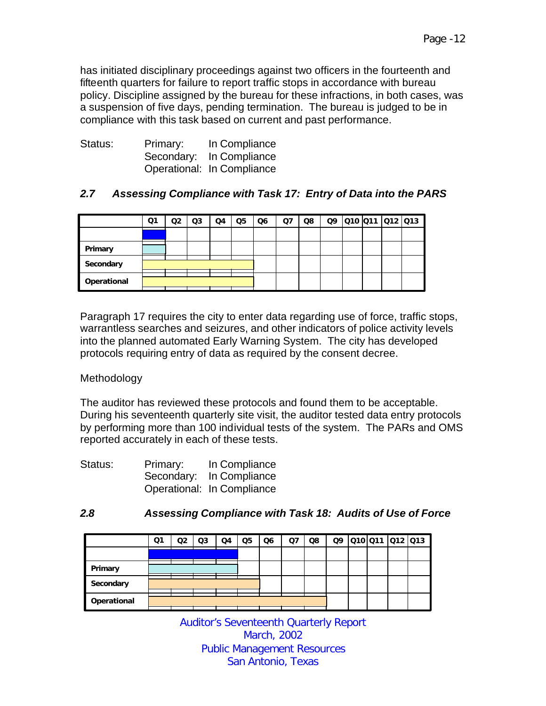has initiated disciplinary proceedings against two officers in the fourteenth and fifteenth quarters for failure to report traffic stops in accordance with bureau policy. Discipline assigned by the bureau for these infractions, in both cases, was a suspension of five days, pending termination. The bureau is judged to be in compliance with this task based on current and past performance.

| Status: | Primary: | In Compliance              |
|---------|----------|----------------------------|
|         |          | Secondary: In Compliance   |
|         |          | Operational: In Compliance |

# *2.7 Assessing Compliance with Task 17: Entry of Data into the PARS*

|             | Q1 | Q2 | Q3 | Q4 | Q5 | Q6 | Q <sub>7</sub> | Q8 | Q9 |  | 010 011 012 013 |  |
|-------------|----|----|----|----|----|----|----------------|----|----|--|-----------------|--|
|             |    |    |    |    |    |    |                |    |    |  |                 |  |
| Primary     |    |    |    |    |    |    |                |    |    |  |                 |  |
| Secondary   |    |    |    |    |    |    |                |    |    |  |                 |  |
| Operational |    |    |    |    |    |    |                |    |    |  |                 |  |

Paragraph 17 requires the city to enter data regarding use of force, traffic stops, warrantless searches and seizures, and other indicators of police activity levels into the planned automated Early Warning System. The city has developed protocols requiring entry of data as required by the consent decree.

## Methodology

The auditor has reviewed these protocols and found them to be acceptable. During his seventeenth quarterly site visit, the auditor tested data entry protocols by performing more than 100 individual tests of the system. The PARs and OMS reported accurately in each of these tests.

| Status: | Primary: | In Compliance              |
|---------|----------|----------------------------|
|         |          | Secondary: In Compliance   |
|         |          | Operational: In Compliance |

## *2.8 Assessing Compliance with Task 18: Audits of Use of Force*

|             | Ο1 | Q2 | Q3 | Q4 | Q <sub>5</sub> | Q6 | Q7 | Q8 | Q9 |  | 010 011 012 013 |  |
|-------------|----|----|----|----|----------------|----|----|----|----|--|-----------------|--|
|             |    |    |    |    |                |    |    |    |    |  |                 |  |
| Primary     |    |    |    |    |                |    |    |    |    |  |                 |  |
| Secondary   |    |    |    |    |                |    |    |    |    |  |                 |  |
| Operational |    |    |    |    |                |    |    |    |    |  |                 |  |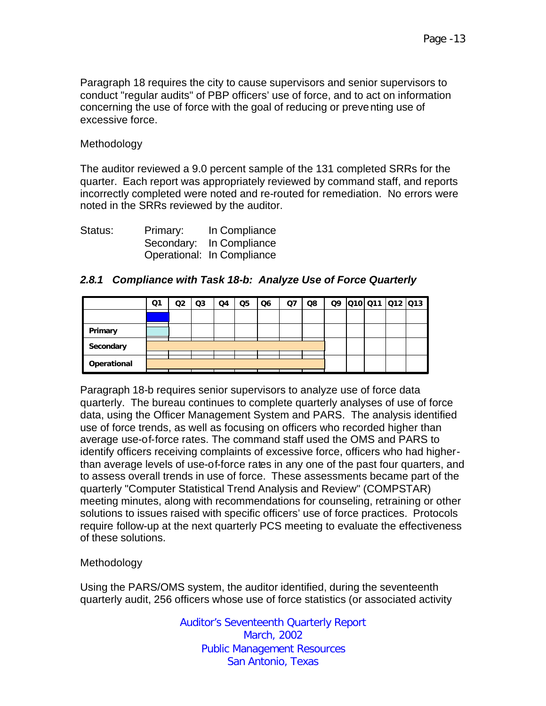Paragraph 18 requires the city to cause supervisors and senior supervisors to conduct "regular audits" of PBP officers' use of force, and to act on information concerning the use of force with the goal of reducing or preventing use of excessive force.

#### Methodology

The auditor reviewed a 9.0 percent sample of the 131 completed SRRs for the quarter. Each report was appropriately reviewed by command staff, and reports incorrectly completed were noted and re-routed for remediation. No errors were noted in the SRRs reviewed by the auditor.

| Status: | Primary: | In Compliance              |
|---------|----------|----------------------------|
|         |          | Secondary: In Compliance   |
|         |          | Operational: In Compliance |

#### *2.8.1 Compliance with Task 18-b: Analyze Use of Force Quarterly*

Paragraph 18-b requires senior supervisors to analyze use of force data quarterly. The bureau continues to complete quarterly analyses of use of force data, using the Officer Management System and PARS. The analysis identified use of force trends, as well as focusing on officers who recorded higher than average use-of-force rates. The command staff used the OMS and PARS to identify officers receiving complaints of excessive force, officers who had higherthan average levels of use-of-force rates in any one of the past four quarters, and to assess overall trends in use of force. These assessments became part of the quarterly "Computer Statistical Trend Analysis and Review" (COMPSTAR) meeting minutes, along with recommendations for counseling, retraining or other solutions to issues raised with specific officers' use of force practices. Protocols require follow-up at the next quarterly PCS meeting to evaluate the effectiveness of these solutions.

#### Methodology

Using the PARS/OMS system, the auditor identified, during the seventeenth quarterly audit, 256 officers whose use of force statistics (or associated activity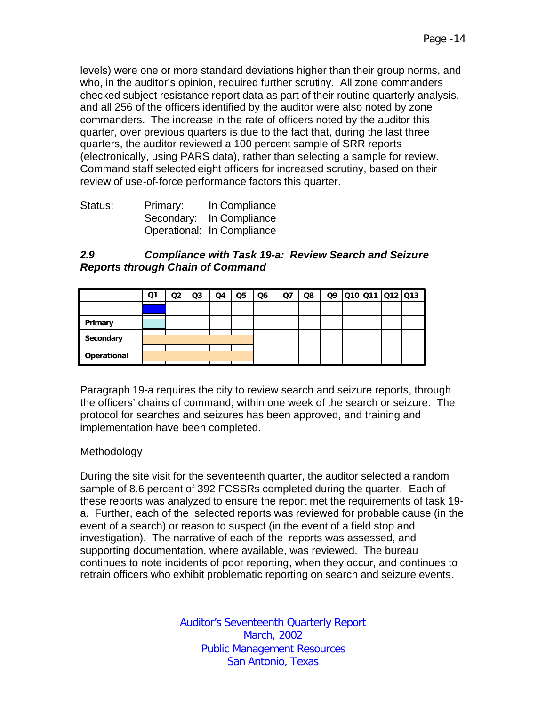levels) were one or more standard deviations higher than their group norms, and who, in the auditor's opinion, required further scrutiny. All zone commanders checked subject resistance report data as part of their routine quarterly analysis, and all 256 of the officers identified by the auditor were also noted by zone commanders. The increase in the rate of officers noted by the auditor this quarter, over previous quarters is due to the fact that, during the last three quarters, the auditor reviewed a 100 percent sample of SRR reports (electronically, using PARS data), rather than selecting a sample for review. Command staff selected eight officers for increased scrutiny, based on their review of use-of-force performance factors this quarter.

| Status: | Primary: | In Compliance              |
|---------|----------|----------------------------|
|         |          | Secondary: In Compliance   |
|         |          | Operational: In Compliance |

#### *2.9 Compliance with Task 19-a: Review Search and Seizure Reports through Chain of Command*

|             | Ο1 | Q2 | Q <sub>3</sub> | Q4 | Q5 | Q <sub>6</sub> | Q7 | Q8 | Q9 | Q10 Q11 Q12 Q13 |  |
|-------------|----|----|----------------|----|----|----------------|----|----|----|-----------------|--|
|             |    |    |                |    |    |                |    |    |    |                 |  |
| Primary     |    |    |                |    |    |                |    |    |    |                 |  |
| Secondary   |    |    |                |    |    |                |    |    |    |                 |  |
| Operational |    |    |                |    |    |                |    |    |    |                 |  |

Paragraph 19-a requires the city to review search and seizure reports, through the officers' chains of command, within one week of the search or seizure. The protocol for searches and seizures has been approved, and training and implementation have been completed.

## Methodology

During the site visit for the seventeenth quarter, the auditor selected a random sample of 8.6 percent of 392 FCSSRs completed during the quarter. Each of these reports was analyzed to ensure the report met the requirements of task 19 a. Further, each of the selected reports was reviewed for probable cause (in the event of a search) or reason to suspect (in the event of a field stop and investigation). The narrative of each of the reports was assessed, and supporting documentation, where available, was reviewed. The bureau continues to note incidents of poor reporting, when they occur, and continues to retrain officers who exhibit problematic reporting on search and seizure events.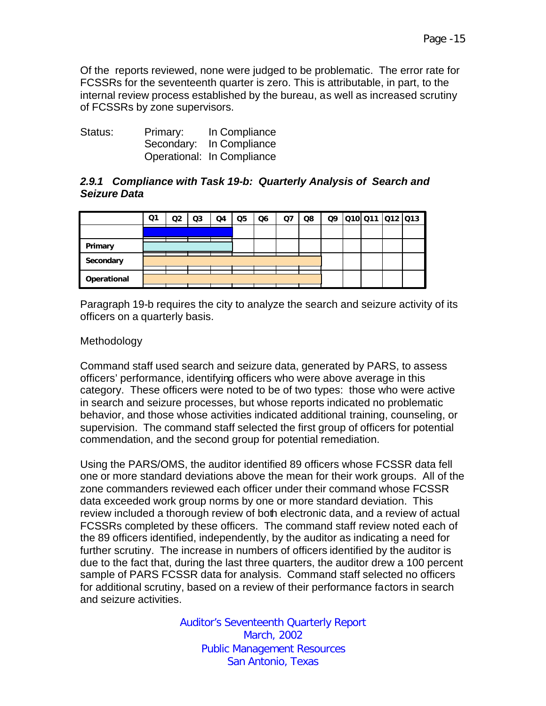Of the reports reviewed, none were judged to be problematic. The error rate for FCSSRs for the seventeenth quarter is zero. This is attributable, in part, to the internal review process established by the bureau, as well as increased scrutiny of FCSSRs by zone supervisors.

| Status: | Primary: | In Compliance              |
|---------|----------|----------------------------|
|         |          | Secondary: In Compliance   |
|         |          | Operational: In Compliance |

#### *2.9.1 Compliance with Task 19-b: Quarterly Analysis of Search and Seizure Data*

|             | Ο1 | Q2 | Q <sub>3</sub> | Q4 | Q <sub>5</sub> | Q <sub>6</sub> | $Q$ 7 | Q8 | Q9 | Q10 Q11 Q12 Q13 |  |
|-------------|----|----|----------------|----|----------------|----------------|-------|----|----|-----------------|--|
|             |    |    |                |    |                |                |       |    |    |                 |  |
| Primary     |    |    |                |    |                |                |       |    |    |                 |  |
| Secondary   |    |    |                |    |                |                |       |    |    |                 |  |
| Operational |    |    |                |    |                |                |       |    |    |                 |  |

Paragraph 19-b requires the city to analyze the search and seizure activity of its officers on a quarterly basis.

## Methodology

Command staff used search and seizure data, generated by PARS, to assess officers' performance, identifying officers who were above average in this category. These officers were noted to be of two types: those who were active in search and seizure processes, but whose reports indicated no problematic behavior, and those whose activities indicated additional training, counseling, or supervision. The command staff selected the first group of officers for potential commendation, and the second group for potential remediation.

Using the PARS/OMS, the auditor identified 89 officers whose FCSSR data fell one or more standard deviations above the mean for their work groups. All of the zone commanders reviewed each officer under their command whose FCSSR data exceeded work group norms by one or more standard deviation. This review included a thorough review of both electronic data, and a review of actual FCSSRs completed by these officers. The command staff review noted each of the 89 officers identified, independently, by the auditor as indicating a need for further scrutiny. The increase in numbers of officers identified by the auditor is due to the fact that, during the last three quarters, the auditor drew a 100 percent sample of PARS FCSSR data for analysis. Command staff selected no officers for additional scrutiny, based on a review of their performance factors in search and seizure activities.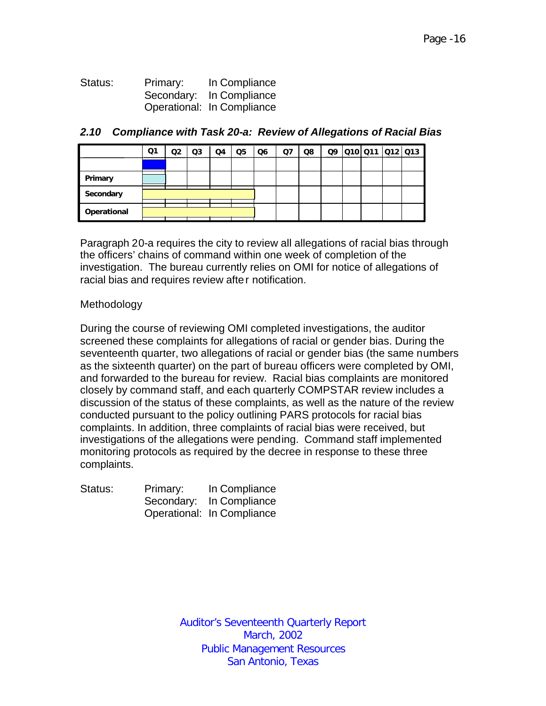Status: Primary: In Compliance Secondary: In Compliance Operational: In Compliance

|             | Q1 | Q2 | Q3 | Q4 | Q <sub>5</sub> | Q <sub>6</sub> | Q7 | Q8 | Q9 | Q10 Q11 Q12 Q13 |  |
|-------------|----|----|----|----|----------------|----------------|----|----|----|-----------------|--|
|             |    |    |    |    |                |                |    |    |    |                 |  |
| Primary     |    |    |    |    |                |                |    |    |    |                 |  |
| Secondary   |    |    |    |    |                |                |    |    |    |                 |  |
| Operational |    |    |    |    |                |                |    |    |    |                 |  |

#### *2.10 Compliance with Task 20-a: Review of Allegations of Racial Bias*

Paragraph 20-a requires the city to review all allegations of racial bias through the officers' chains of command within one week of completion of the investigation. The bureau currently relies on OMI for notice of allegations of racial bias and requires review after notification.

#### Methodology

During the course of reviewing OMI completed investigations, the auditor screened these complaints for allegations of racial or gender bias. During the seventeenth quarter, two allegations of racial or gender bias (the same numbers as the sixteenth quarter) on the part of bureau officers were completed by OMI, and forwarded to the bureau for review. Racial bias complaints are monitored closely by command staff, and each quarterly COMPSTAR review includes a discussion of the status of these complaints, as well as the nature of the review conducted pursuant to the policy outlining PARS protocols for racial bias complaints. In addition, three complaints of racial bias were received, but investigations of the allegations were pending. Command staff implemented monitoring protocols as required by the decree in response to these three complaints.

| Status: | Primary: | In Compliance              |
|---------|----------|----------------------------|
|         |          | Secondary: In Compliance   |
|         |          | Operational: In Compliance |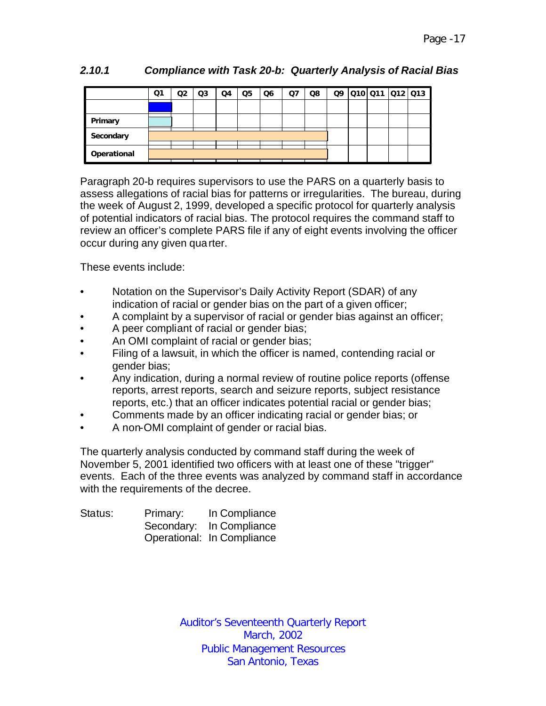|             | Q1 | Q2 | Q <sub>3</sub> | Q4 | Q <sub>5</sub> | Q <sub>6</sub> | Q7 | Q8 |  | 09 010 011 012 013 |  |
|-------------|----|----|----------------|----|----------------|----------------|----|----|--|--------------------|--|
|             |    |    |                |    |                |                |    |    |  |                    |  |
| Primary     |    |    |                |    |                |                |    |    |  |                    |  |
| Secondary   |    |    |                |    |                |                |    |    |  |                    |  |
| Operational |    |    |                |    |                |                |    |    |  |                    |  |

# *2.10.1 Compliance with Task 20-b: Quarterly Analysis of Racial Bias*

Paragraph 20-b requires supervisors to use the PARS on a quarterly basis to assess allegations of racial bias for patterns or irregularities. The bureau, during the week of August 2, 1999, developed a specific protocol for quarterly analysis of potential indicators of racial bias. The protocol requires the command staff to review an officer's complete PARS file if any of eight events involving the officer occur during any given quarter.

These events include:

- Notation on the Supervisor's Daily Activity Report (SDAR) of any indication of racial or gender bias on the part of a given officer;
- A complaint by a supervisor of racial or gender bias against an officer;
- A peer compliant of racial or gender bias;
- An OMI complaint of racial or gender bias;
- Filing of a lawsuit, in which the officer is named, contending racial or gender bias;
- Any indication, during a normal review of routine police reports (offense reports, arrest reports, search and seizure reports, subject resistance reports, etc.) that an officer indicates potential racial or gender bias;
- Comments made by an officer indicating racial or gender bias; or
- A non-OMI complaint of gender or racial bias.

The quarterly analysis conducted by command staff during the week of November 5, 2001 identified two officers with at least one of these "trigger" events. Each of the three events was analyzed by command staff in accordance with the requirements of the decree.

| Status: | Primary: | In Compliance              |
|---------|----------|----------------------------|
|         |          | Secondary: In Compliance   |
|         |          | Operational: In Compliance |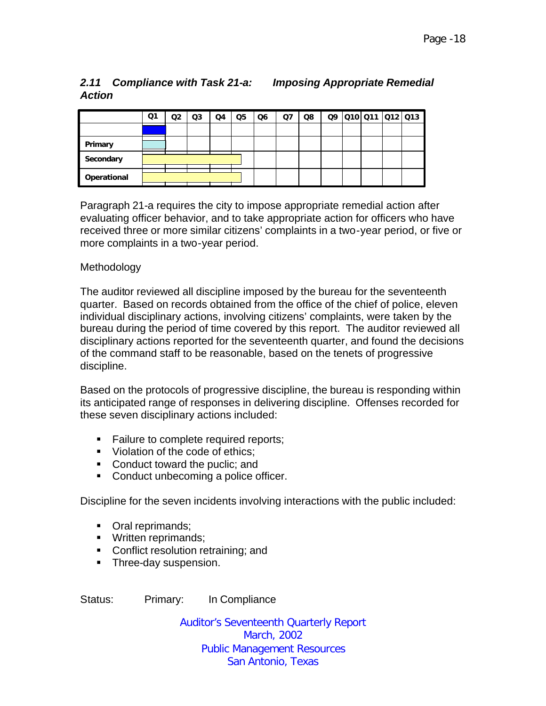# *2.11 Compliance with Task 21-a: Imposing Appropriate Remedial Action*

|             | Q1 | Q2 | Q <sub>3</sub> | Q4 | Q <sub>5</sub> | Q <sub>6</sub> | Ω7 | Q8 |  | 09 010 011 012 013 |  |
|-------------|----|----|----------------|----|----------------|----------------|----|----|--|--------------------|--|
|             |    |    |                |    |                |                |    |    |  |                    |  |
| Primary     |    |    |                |    |                |                |    |    |  |                    |  |
| Secondary   |    |    |                |    |                |                |    |    |  |                    |  |
| Operational |    |    |                |    |                |                |    |    |  |                    |  |

Paragraph 21-a requires the city to impose appropriate remedial action after evaluating officer behavior, and to take appropriate action for officers who have received three or more similar citizens' complaints in a two-year period, or five or more complaints in a two-year period.

## Methodology

The auditor reviewed all discipline imposed by the bureau for the seventeenth quarter. Based on records obtained from the office of the chief of police, eleven individual disciplinary actions, involving citizens' complaints, were taken by the bureau during the period of time covered by this report. The auditor reviewed all disciplinary actions reported for the seventeenth quarter, and found the decisions of the command staff to be reasonable, based on the tenets of progressive discipline.

Based on the protocols of progressive discipline, the bureau is responding within its anticipated range of responses in delivering discipline. Offenses recorded for these seven disciplinary actions included:

- **Failure to complete required reports;**
- Violation of the code of ethics:
- Conduct toward the puclic; and
- Conduct unbecoming a police officer.

Discipline for the seven incidents involving interactions with the public included:

- Oral reprimands;
- Written reprimands;
- Conflict resolution retraining: and
- **Three-day suspension.**

Status: Primary: In Compliance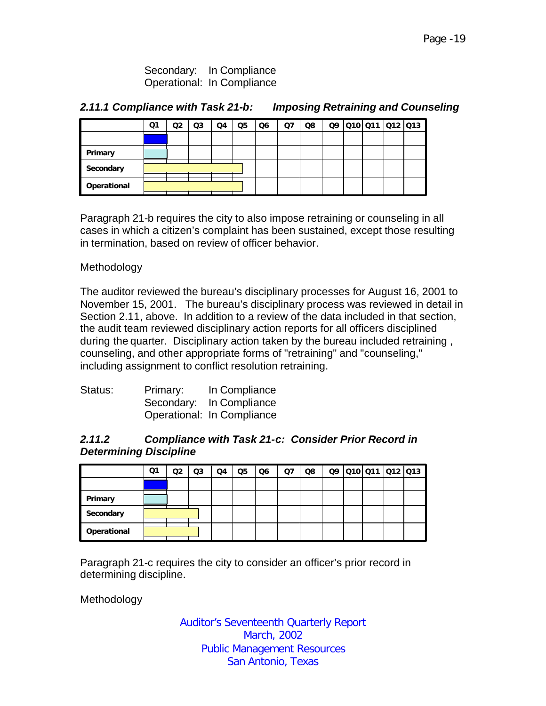Secondary: In Compliance Operational: In Compliance

## *2.11.1 Compliance with Task 21-b: Imposing Retraining and Counseling*

|             | Q1 | Q2 | Q3 | Q4 | Q <sub>5</sub> | Q <sub>6</sub> | Q7 | Q8 | Q9 | Q10 Q11 Q12 Q13 |  |
|-------------|----|----|----|----|----------------|----------------|----|----|----|-----------------|--|
|             |    |    |    |    |                |                |    |    |    |                 |  |
| Primary     |    |    |    |    |                |                |    |    |    |                 |  |
| Secondary   |    |    |    |    |                |                |    |    |    |                 |  |
| Operational |    |    |    |    |                |                |    |    |    |                 |  |

Paragraph 21-b requires the city to also impose retraining or counseling in all cases in which a citizen's complaint has been sustained, except those resulting in termination, based on review of officer behavior.

## Methodology

The auditor reviewed the bureau's disciplinary processes for August 16, 2001 to November 15, 2001. The bureau's disciplinary process was reviewed in detail in Section 2.11, above. In addition to a review of the data included in that section, the audit team reviewed disciplinary action reports for all officers disciplined during the quarter. Disciplinary action taken by the bureau included retraining , counseling, and other appropriate forms of "retraining" and "counseling," including assignment to conflict resolution retraining.

| Status: | Primary: | In Compliance              |
|---------|----------|----------------------------|
|         |          | Secondary: In Compliance   |
|         |          | Operational: In Compliance |

#### *2.11.2 Compliance with Task 21-c: Consider Prior Record in Determining Discipline*

|             | Q1 | O2 | Q3 | Q4 | Q5 | Q6 | Q7 | Q8 | Q9 | 010 011 012 013 |  |
|-------------|----|----|----|----|----|----|----|----|----|-----------------|--|
|             |    |    |    |    |    |    |    |    |    |                 |  |
| Primary     |    |    |    |    |    |    |    |    |    |                 |  |
| Secondary   |    |    |    |    |    |    |    |    |    |                 |  |
| Operational |    |    |    |    |    |    |    |    |    |                 |  |

Paragraph 21-c requires the city to consider an officer's prior record in determining discipline.

Methodology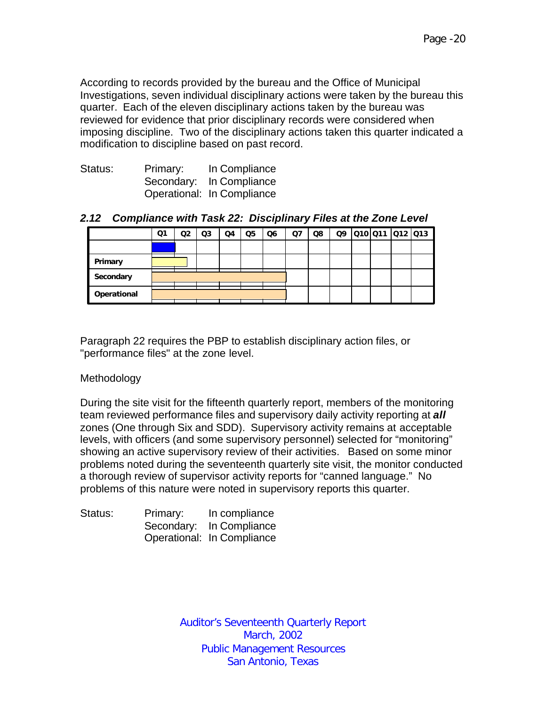According to records provided by the bureau and the Office of Municipal Investigations, seven individual disciplinary actions were taken by the bureau this quarter. Each of the eleven disciplinary actions taken by the bureau was reviewed for evidence that prior disciplinary records were considered when imposing discipline. Two of the disciplinary actions taken this quarter indicated a modification to discipline based on past record.

| Status: | Primary: | In Compliance              |
|---------|----------|----------------------------|
|         |          | Secondary: In Compliance   |
|         |          | Operational: In Compliance |

#### *2.12 Compliance with Task 22: Disciplinary Files at the Zone Level*

|             | Q1 | Q2 | Q3 | Q4 | Q5 | Q <sub>6</sub> | Ω7 | Q8 | Q9 | 010 011 012 013 |  |
|-------------|----|----|----|----|----|----------------|----|----|----|-----------------|--|
|             |    |    |    |    |    |                |    |    |    |                 |  |
| Primary     |    |    |    |    |    |                |    |    |    |                 |  |
| Secondary   |    |    |    |    |    |                |    |    |    |                 |  |
| Operational |    |    |    |    |    |                |    |    |    |                 |  |

Paragraph 22 requires the PBP to establish disciplinary action files, or "performance files" at the zone level.

#### Methodology

During the site visit for the fifteenth quarterly report, members of the monitoring team reviewed performance files and supervisory daily activity reporting at *all*  zones (One through Six and SDD). Supervisory activity remains at acceptable levels, with officers (and some supervisory personnel) selected for "monitoring" showing an active supervisory review of their activities. Based on some minor problems noted during the seventeenth quarterly site visit, the monitor conducted a thorough review of supervisor activity reports for "canned language." No problems of this nature were noted in supervisory reports this quarter.

| Status: | Primary: | In compliance              |
|---------|----------|----------------------------|
|         |          | Secondary: In Compliance   |
|         |          | Operational: In Compliance |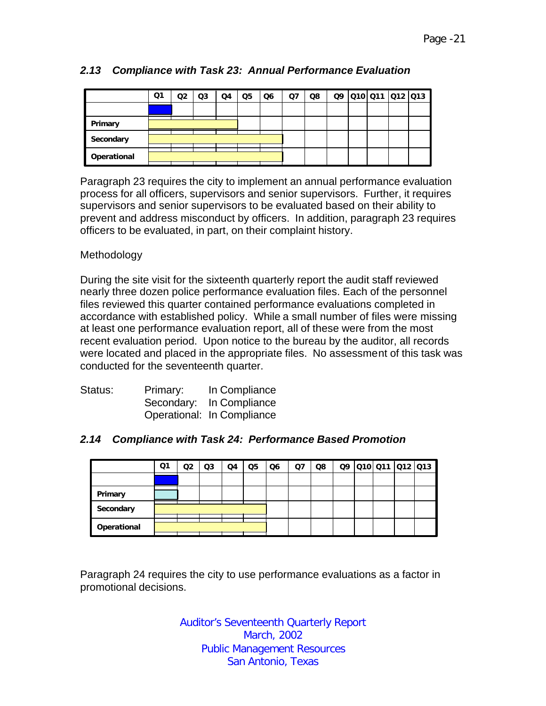|             | Q1 | Q2 | Q3 | Q4 | Q5 | Q <sub>6</sub> | Q7 | Q8 | Q9 |  | Q10 Q11 Q12 Q13 |
|-------------|----|----|----|----|----|----------------|----|----|----|--|-----------------|
|             |    |    |    |    |    |                |    |    |    |  |                 |
| Primary     |    |    |    |    |    |                |    |    |    |  |                 |
| Secondary   |    |    |    |    |    |                |    |    |    |  |                 |
| Operational |    |    |    |    |    |                |    |    |    |  |                 |

## *2.13 Compliance with Task 23: Annual Performance Evaluation*

Paragraph 23 requires the city to implement an annual performance evaluation process for all officers, supervisors and senior supervisors. Further, it requires supervisors and senior supervisors to be evaluated based on their ability to prevent and address misconduct by officers. In addition, paragraph 23 requires officers to be evaluated, in part, on their complaint history.

## Methodology

During the site visit for the sixteenth quarterly report the audit staff reviewed nearly three dozen police performance evaluation files. Each of the personnel files reviewed this quarter contained performance evaluations completed in accordance with established policy. While a small number of files were missing at least one performance evaluation report, all of these were from the most recent evaluation period. Upon notice to the bureau by the auditor, all records were located and placed in the appropriate files. No assessment of this task was conducted for the seventeenth quarter.

| Status: | Primary: | In Compliance              |
|---------|----------|----------------------------|
|         |          | Secondary: In Compliance   |
|         |          | Operational: In Compliance |

#### *2.14 Compliance with Task 24: Performance Based Promotion*

|             | Q1 | ገ2 | Q3 | Q4 | Q <sub>5</sub> | Q6 | Q7 | Q8 |  | Q9 010 011 012 013 |  |
|-------------|----|----|----|----|----------------|----|----|----|--|--------------------|--|
|             |    |    |    |    |                |    |    |    |  |                    |  |
| Primary     |    |    |    |    |                |    |    |    |  |                    |  |
| Secondary   |    |    |    |    |                |    |    |    |  |                    |  |
| Operational |    |    |    |    |                |    |    |    |  |                    |  |

Paragraph 24 requires the city to use performance evaluations as a factor in promotional decisions.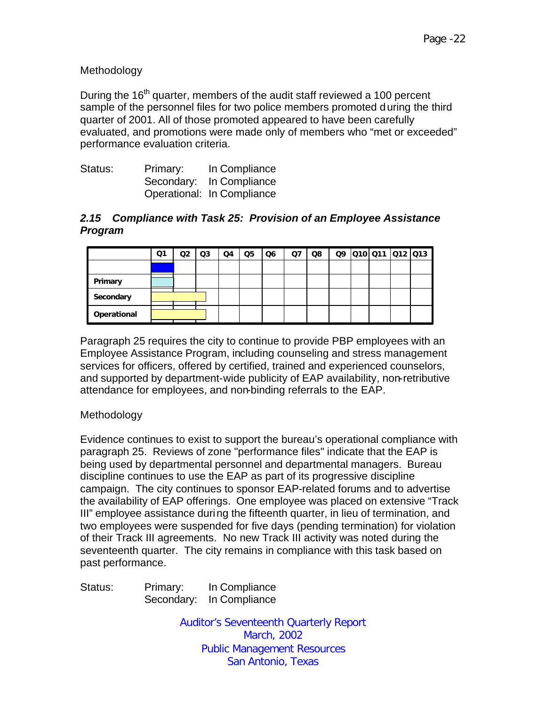## Methodology

During the  $16<sup>th</sup>$  quarter, members of the audit staff reviewed a 100 percent sample of the personnel files for two police members promoted during the third quarter of 2001. All of those promoted appeared to have been carefully evaluated, and promotions were made only of members who "met or exceeded" performance evaluation criteria.

| Status: | Primary: | In Compliance              |
|---------|----------|----------------------------|
|         |          | Secondary: In Compliance   |
|         |          | Operational: In Compliance |

#### *2.15 Compliance with Task 25: Provision of an Employee Assistance Program*

|             | Ο1 | Q2 | Q3 | Q4 | Q <sub>5</sub> | Q6 | Q7 | Q8 |  | Q9 Q10 Q11 Q12 Q13 |  |
|-------------|----|----|----|----|----------------|----|----|----|--|--------------------|--|
|             |    |    |    |    |                |    |    |    |  |                    |  |
| Primary     |    |    |    |    |                |    |    |    |  |                    |  |
| Secondary   |    |    |    |    |                |    |    |    |  |                    |  |
| Operational |    |    |    |    |                |    |    |    |  |                    |  |

Paragraph 25 requires the city to continue to provide PBP employees with an Employee Assistance Program, including counseling and stress management services for officers, offered by certified, trained and experienced counselors, and supported by department-wide publicity of EAP availability, non-retributive attendance for employees, and non-binding referrals to the EAP.

#### Methodology

Evidence continues to exist to support the bureau's operational compliance with paragraph 25. Reviews of zone "performance files" indicate that the EAP is being used by departmental personnel and departmental managers. Bureau discipline continues to use the EAP as part of its progressive discipline campaign. The city continues to sponsor EAP-related forums and to advertise the availability of EAP offerings. One employee was placed on extensive "Track III" employee assistance during the fifteenth quarter, in lieu of termination, and two employees were suspended for five days (pending termination) for violation of their Track III agreements. No new Track III activity was noted during the seventeenth quarter. The city remains in compliance with this task based on past performance.

Status: Primary: In Compliance Secondary: In Compliance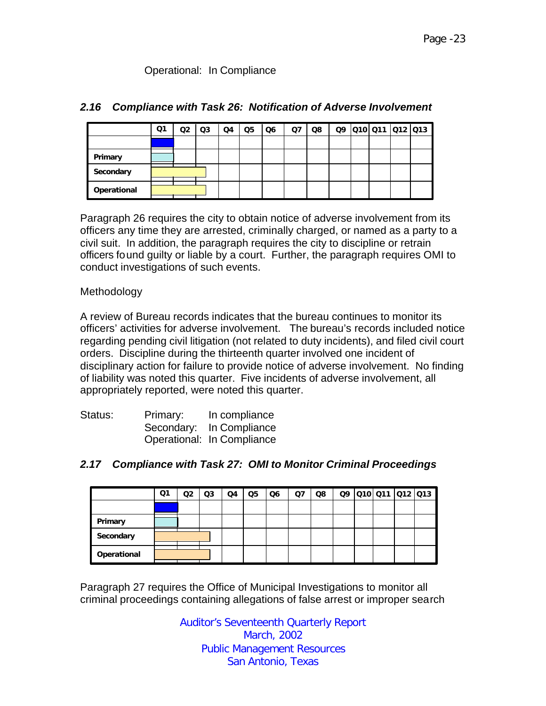## Operational: In Compliance

|             | Q1 | Q <sub>2</sub> | Q <sub>3</sub> | Q4 | Q <sub>5</sub> | Q <sub>6</sub> | Q7 | Q8 |  | Q9 010 011 012 013 |  |
|-------------|----|----------------|----------------|----|----------------|----------------|----|----|--|--------------------|--|
|             |    |                |                |    |                |                |    |    |  |                    |  |
| Primary     |    |                |                |    |                |                |    |    |  |                    |  |
| Secondary   |    |                |                |    |                |                |    |    |  |                    |  |
| Operational |    |                |                |    |                |                |    |    |  |                    |  |

## *2.16 Compliance with Task 26: Notification of Adverse Involvement*

Paragraph 26 requires the city to obtain notice of adverse involvement from its officers any time they are arrested, criminally charged, or named as a party to a civil suit. In addition, the paragraph requires the city to discipline or retrain officers found guilty or liable by a court. Further, the paragraph requires OMI to conduct investigations of such events.

## Methodology

A review of Bureau records indicates that the bureau continues to monitor its officers' activities for adverse involvement. The bureau's records included notice regarding pending civil litigation (not related to duty incidents), and filed civil court orders. Discipline during the thirteenth quarter involved one incident of disciplinary action for failure to provide notice of adverse involvement. No finding of liability was noted this quarter. Five incidents of adverse involvement, all appropriately reported, were noted this quarter.

| Status: | Primary: | In compliance              |
|---------|----------|----------------------------|
|         |          | Secondary: In Compliance   |
|         |          | Operational: In Compliance |

#### *2.17 Compliance with Task 27: OMI to Monitor Criminal Proceedings*

|             | Ο1 | Q2 | Q3 | Q4 | Q <sub>5</sub> | Q6 | Q7 | Q8 |  | Q9 010 011 012 013 |  |
|-------------|----|----|----|----|----------------|----|----|----|--|--------------------|--|
|             |    |    |    |    |                |    |    |    |  |                    |  |
| Primary     |    |    |    |    |                |    |    |    |  |                    |  |
| Secondary   |    |    |    |    |                |    |    |    |  |                    |  |
| Operational |    |    |    |    |                |    |    |    |  |                    |  |

Paragraph 27 requires the Office of Municipal Investigations to monitor all criminal proceedings containing allegations of false arrest or improper search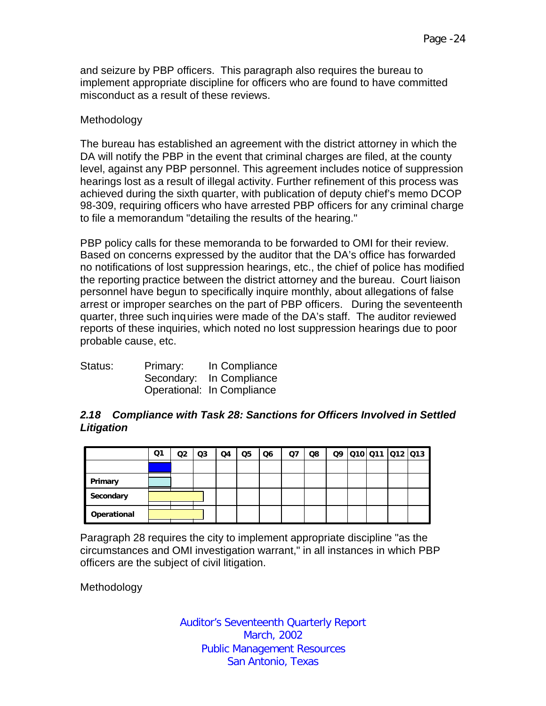and seizure by PBP officers. This paragraph also requires the bureau to implement appropriate discipline for officers who are found to have committed misconduct as a result of these reviews.

#### Methodology

The bureau has established an agreement with the district attorney in which the DA will notify the PBP in the event that criminal charges are filed, at the county level, against any PBP personnel. This agreement includes notice of suppression hearings lost as a result of illegal activity. Further refinement of this process was achieved during the sixth quarter, with publication of deputy chief's memo DCOP 98-309, requiring officers who have arrested PBP officers for any criminal charge to file a memorandum "detailing the results of the hearing."

PBP policy calls for these memoranda to be forwarded to OMI for their review. Based on concerns expressed by the auditor that the DA's office has forwarded no notifications of lost suppression hearings, etc., the chief of police has modified the reporting practice between the district attorney and the bureau. Court liaison personnel have begun to specifically inquire monthly, about allegations of false arrest or improper searches on the part of PBP officers. During the seventeenth quarter, three such inquiries were made of the DA's staff. The auditor reviewed reports of these inquiries, which noted no lost suppression hearings due to poor probable cause, etc.

| Status: | Primary: | In Compliance              |
|---------|----------|----------------------------|
|         |          | Secondary: In Compliance   |
|         |          | Operational: In Compliance |

## *2.18 Compliance with Task 28: Sanctions for Officers Involved in Settled Litigation*

|             | Q1 | Q2 | Q3 | Q4 | Q5 | Q6 | Q7 | Q8 |  | Q9 010 011 012 013 |  |
|-------------|----|----|----|----|----|----|----|----|--|--------------------|--|
|             |    |    |    |    |    |    |    |    |  |                    |  |
| Primary     |    |    |    |    |    |    |    |    |  |                    |  |
| Secondary   |    |    |    |    |    |    |    |    |  |                    |  |
| Operational |    |    |    |    |    |    |    |    |  |                    |  |

Paragraph 28 requires the city to implement appropriate discipline "as the circumstances and OMI investigation warrant," in all instances in which PBP officers are the subject of civil litigation.

Methodology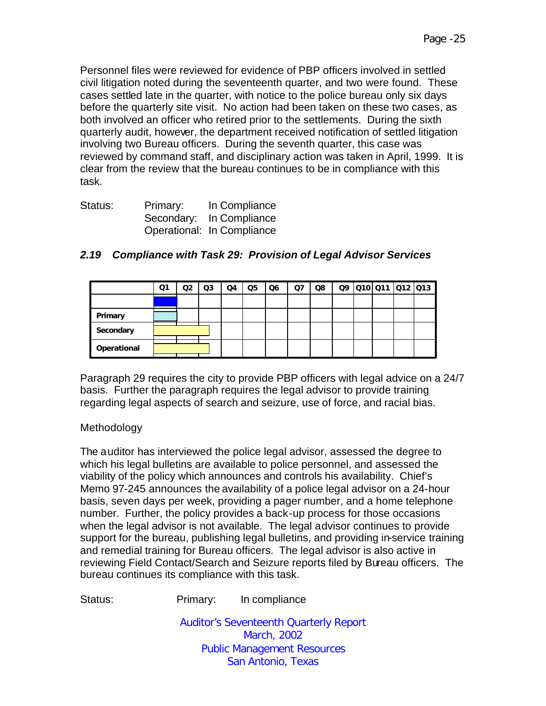Personnel files were reviewed for evidence of PBP officers involved in settled civil litigation noted during the seventeenth quarter, and two were found. These cases settled late in the quarter, with notice to the police bureau only six days before the quarterly site visit. No action had been taken on these two cases, as both involved an officer who retired prior to the settlements. During the sixth quarterly audit, however, the department received notification of settled litigation involving two Bureau officers. During the seventh quarter, this case was reviewed by command staff, and disciplinary action was taken in April, 1999. It is clear from the review that the bureau continues to be in compliance with this task.

| Status: | Primary: | In Compliance              |
|---------|----------|----------------------------|
|         |          | Secondary: In Compliance   |
|         |          | Operational: In Compliance |

|             | Ο1 | Q2 | Q <sub>3</sub> | Q4 | Q <sub>5</sub> | Q <sub>6</sub> | Q7 | Q8 | Q9 |  | Q10  Q11   Q12   Q13 |
|-------------|----|----|----------------|----|----------------|----------------|----|----|----|--|----------------------|
|             |    |    |                |    |                |                |    |    |    |  |                      |
| Primary     |    |    |                |    |                |                |    |    |    |  |                      |
| Secondary   |    |    |                |    |                |                |    |    |    |  |                      |
| Operational |    |    |                |    |                |                |    |    |    |  |                      |

## *2.19 Compliance with Task 29: Provision of Legal Advisor Services*

Paragraph 29 requires the city to provide PBP officers with legal advice on a 24/7 basis. Further the paragraph requires the legal advisor to provide training regarding legal aspects of search and seizure, use of force, and racial bias.

#### Methodology

The auditor has interviewed the police legal advisor, assessed the degree to which his legal bulletins are available to police personnel, and assessed the viability of the policy which announces and controls his availability. Chief's Memo 97-245 announces the availability of a police legal advisor on a 24-hour basis, seven days per week, providing a pager number, and a home telephone number. Further, the policy provides a back-up process for those occasions when the legal advisor is not available. The legal advisor continues to provide support for the bureau, publishing legal bulletins, and providing in-service training and remedial training for Bureau officers. The legal advisor is also active in reviewing Field Contact/Search and Seizure reports filed by Bureau officers. The bureau continues its compliance with this task.

Status: Primary: In compliance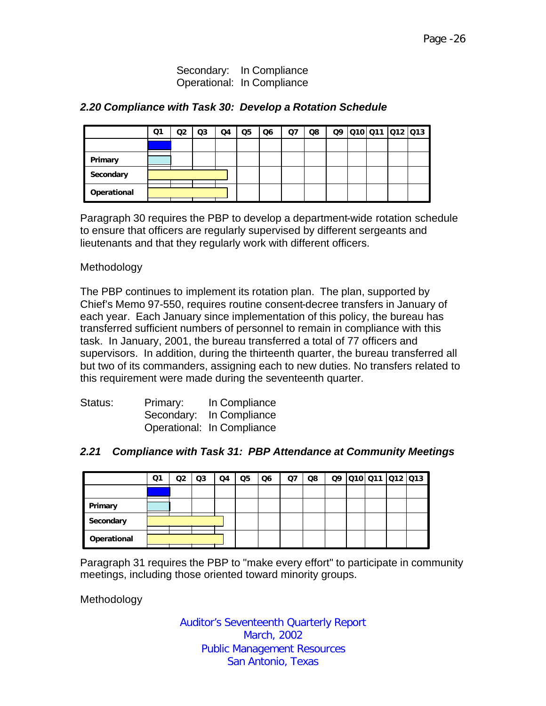Secondary: In Compliance Operational: In Compliance

| 2.20 Compliance with Task 30: Develop a Rotation Schedule |  |  |
|-----------------------------------------------------------|--|--|
|-----------------------------------------------------------|--|--|

|             | Q1 | Q2 | Q <sub>3</sub> | Q4 | Q <sub>5</sub> | Q6 | Q7 | Q8 |  | Q9 010 011 012 013 |  |
|-------------|----|----|----------------|----|----------------|----|----|----|--|--------------------|--|
|             |    |    |                |    |                |    |    |    |  |                    |  |
| Primary     |    |    |                |    |                |    |    |    |  |                    |  |
| Secondary   |    |    |                |    |                |    |    |    |  |                    |  |
| Operational |    |    |                |    |                |    |    |    |  |                    |  |

Paragraph 30 requires the PBP to develop a department-wide rotation schedule to ensure that officers are regularly supervised by different sergeants and lieutenants and that they regularly work with different officers.

#### Methodology

The PBP continues to implement its rotation plan. The plan, supported by Chief's Memo 97-550, requires routine consent-decree transfers in January of each year. Each January since implementation of this policy, the bureau has transferred sufficient numbers of personnel to remain in compliance with this task. In January, 2001, the bureau transferred a total of 77 officers and supervisors. In addition, during the thirteenth quarter, the bureau transferred all but two of its commanders, assigning each to new duties. No transfers related to this requirement were made during the seventeenth quarter.

| Status: | Primary: | In Compliance              |
|---------|----------|----------------------------|
|         |          | Secondary: In Compliance   |
|         |          | Operational: In Compliance |

#### *2.21 Compliance with Task 31: PBP Attendance at Community Meetings*

|             | Q1 | O2 | Q3 | Q4 | Q5 | Q6 | Q7 | Q8 |  | Q9 010 011 012 013 |  |
|-------------|----|----|----|----|----|----|----|----|--|--------------------|--|
|             |    |    |    |    |    |    |    |    |  |                    |  |
| Primary     |    |    |    |    |    |    |    |    |  |                    |  |
| Secondary   |    |    |    |    |    |    |    |    |  |                    |  |
| Operational |    |    |    |    |    |    |    |    |  |                    |  |

Paragraph 31 requires the PBP to "make every effort" to participate in community meetings, including those oriented toward minority groups.

Methodology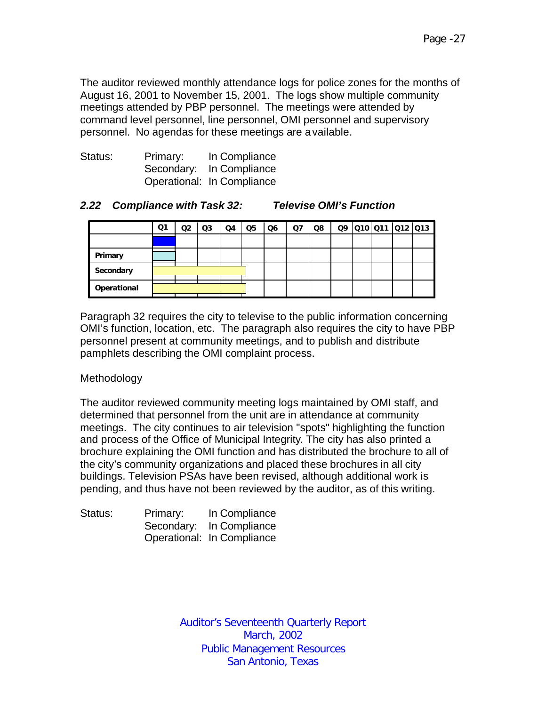The auditor reviewed monthly attendance logs for police zones for the months of August 16, 2001 to November 15, 2001. The logs show multiple community meetings attended by PBP personnel. The meetings were attended by command level personnel, line personnel, OMI personnel and supervisory personnel. No agendas for these meetings are available.

| Status: | Primary: | In Compliance              |
|---------|----------|----------------------------|
|         |          | Secondary: In Compliance   |
|         |          | Operational: In Compliance |

## *2.22 Compliance with Task 32: Televise OMI's Function*

|             | Ο1 | Q2 | Q <sub>3</sub> | Q4 | Q <sub>5</sub> | Q <sub>6</sub> | Q7 | Q8 | Q9 | 010 011 012 013 |  |
|-------------|----|----|----------------|----|----------------|----------------|----|----|----|-----------------|--|
|             |    |    |                |    |                |                |    |    |    |                 |  |
| Primary     |    |    |                |    |                |                |    |    |    |                 |  |
| Secondary   |    |    |                |    |                |                |    |    |    |                 |  |
| Operational |    |    |                |    |                |                |    |    |    |                 |  |

Paragraph 32 requires the city to televise to the public information concerning OMI's function, location, etc. The paragraph also requires the city to have PBP personnel present at community meetings, and to publish and distribute pamphlets describing the OMI complaint process.

#### Methodology

The auditor reviewed community meeting logs maintained by OMI staff, and determined that personnel from the unit are in attendance at community meetings. The city continues to air television "spots" highlighting the function and process of the Office of Municipal Integrity. The city has also printed a brochure explaining the OMI function and has distributed the brochure to all of the city's community organizations and placed these brochures in all city buildings. Television PSAs have been revised, although additional work is pending, and thus have not been reviewed by the auditor, as of this writing.

| Status: | Primary: | In Compliance              |
|---------|----------|----------------------------|
|         |          | Secondary: In Compliance   |
|         |          | Operational: In Compliance |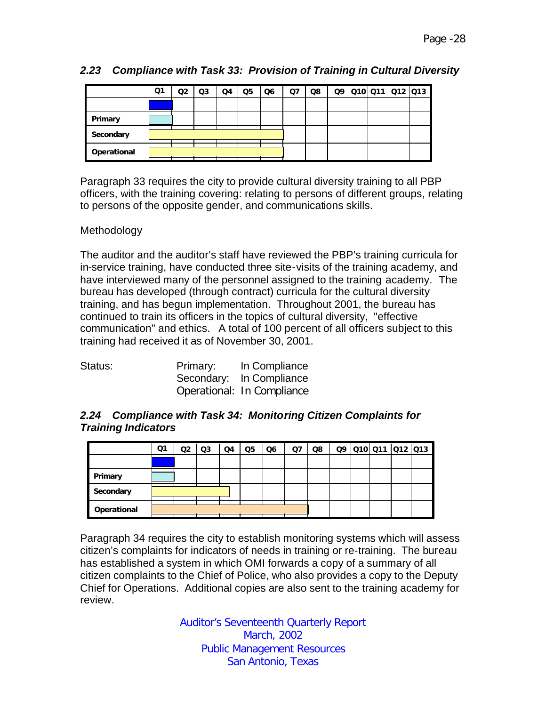|             | Ο1 | O2 | Q3 | Q4 | Q <sub>5</sub> | Q6 | Q7 | Q8 |  | Q9 010 011 012 013 |  |
|-------------|----|----|----|----|----------------|----|----|----|--|--------------------|--|
|             |    |    |    |    |                |    |    |    |  |                    |  |
| Primary     |    |    |    |    |                |    |    |    |  |                    |  |
| Secondary   |    |    |    |    |                |    |    |    |  |                    |  |
| Operational |    |    |    |    |                |    |    |    |  |                    |  |

# *2.23 Compliance with Task 33: Provision of Training in Cultural Diversity*

Paragraph 33 requires the city to provide cultural diversity training to all PBP officers, with the training covering: relating to persons of different groups, relating to persons of the opposite gender, and communications skills.

## Methodology

The auditor and the auditor's staff have reviewed the PBP's training curricula for in-service training, have conducted three site-visits of the training academy, and have interviewed many of the personnel assigned to the training academy. The bureau has developed (through contract) curricula for the cultural diversity training, and has begun implementation. Throughout 2001, the bureau has continued to train its officers in the topics of cultural diversity, "effective communication" and ethics. A total of 100 percent of all officers subject to this training had received it as of November 30, 2001.

| Status: | Primary: | In Compliance              |
|---------|----------|----------------------------|
|         |          | Secondary: In Compliance   |
|         |          | Operational: In Compliance |

## *2.24 Compliance with Task 34: Monitoring Citizen Complaints for Training Indicators*

|             | Q1 | Q2 | Q3 | Q4 | Q <sub>5</sub> | Q6 | Q7 | Q8 |  | Q9 010 011 012 013 |  |
|-------------|----|----|----|----|----------------|----|----|----|--|--------------------|--|
|             |    |    |    |    |                |    |    |    |  |                    |  |
| Primary     |    |    |    |    |                |    |    |    |  |                    |  |
| Secondary   |    |    |    |    |                |    |    |    |  |                    |  |
| Operational |    |    |    |    |                |    |    |    |  |                    |  |

Paragraph 34 requires the city to establish monitoring systems which will assess citizen's complaints for indicators of needs in training or re-training. The bureau has established a system in which OMI forwards a copy of a summary of all citizen complaints to the Chief of Police, who also provides a copy to the Deputy Chief for Operations. Additional copies are also sent to the training academy for review.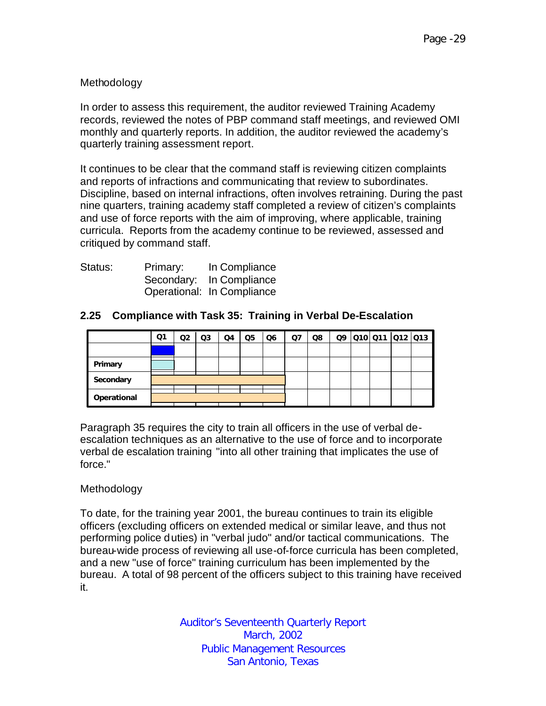## Methodology

In order to assess this requirement, the auditor reviewed Training Academy records, reviewed the notes of PBP command staff meetings, and reviewed OMI monthly and quarterly reports. In addition, the auditor reviewed the academy's quarterly training assessment report.

It continues to be clear that the command staff is reviewing citizen complaints and reports of infractions and communicating that review to subordinates. Discipline, based on internal infractions, often involves retraining. During the past nine quarters, training academy staff completed a review of citizen's complaints and use of force reports with the aim of improving, where applicable, training curricula. Reports from the academy continue to be reviewed, assessed and critiqued by command staff.

| Status: | Primary: | In Compliance              |
|---------|----------|----------------------------|
|         |          | Secondary: In Compliance   |
|         |          | Operational: In Compliance |

## **2.25 Compliance with Task 35: Training in Verbal De-Escalation**

|             | Q1 | Q2 | Q3 | Q4 | Q <sub>5</sub> | Q6 | Q7 | Q8 |  | Q9 010 011 012 013 |  |
|-------------|----|----|----|----|----------------|----|----|----|--|--------------------|--|
|             |    |    |    |    |                |    |    |    |  |                    |  |
| Primary     |    |    |    |    |                |    |    |    |  |                    |  |
| Secondary   |    |    |    |    |                |    |    |    |  |                    |  |
| Operational |    |    |    |    |                |    |    |    |  |                    |  |

Paragraph 35 requires the city to train all officers in the use of verbal deescalation techniques as an alternative to the use of force and to incorporate verbal de escalation training "into all other training that implicates the use of force."

#### Methodology

To date, for the training year 2001, the bureau continues to train its eligible officers (excluding officers on extended medical or similar leave, and thus not performing police duties) in "verbal judo" and/or tactical communications. The bureau-wide process of reviewing all use-of-force curricula has been completed, and a new "use of force" training curriculum has been implemented by the bureau. A total of 98 percent of the officers subject to this training have received it.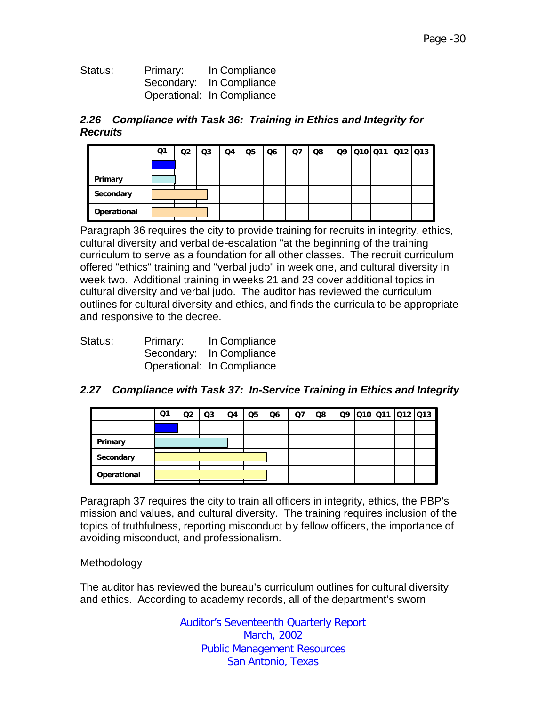| Status: | Primary: | In Compliance              |
|---------|----------|----------------------------|
|         |          | Secondary: In Compliance   |
|         |          | Operational: In Compliance |

## *2.26 Compliance with Task 36: Training in Ethics and Integrity for Recruits*

|             | Q1 | O2 | Q3 | Q4 | Q5 | Q <sub>6</sub> | Q7 | Q8 |  |  | Q9 010 011 012 013 |
|-------------|----|----|----|----|----|----------------|----|----|--|--|--------------------|
|             |    |    |    |    |    |                |    |    |  |  |                    |
| Primary     |    |    |    |    |    |                |    |    |  |  |                    |
| Secondary   |    |    |    |    |    |                |    |    |  |  |                    |
| Operational |    |    |    |    |    |                |    |    |  |  |                    |

Paragraph 36 requires the city to provide training for recruits in integrity, ethics, cultural diversity and verbal de-escalation "at the beginning of the training curriculum to serve as a foundation for all other classes. The recruit curriculum offered "ethics" training and "verbal judo" in week one, and cultural diversity in week two. Additional training in weeks 21 and 23 cover additional topics in cultural diversity and verbal judo. The auditor has reviewed the curriculum outlines for cultural diversity and ethics, and finds the curricula to be appropriate and responsive to the decree.

| Status: | Primary: | In Compliance              |
|---------|----------|----------------------------|
|         |          | Secondary: In Compliance   |
|         |          | Operational: In Compliance |

## *2.27 Compliance with Task 37: In-Service Training in Ethics and Integrity*

|             | Q1 | Q2 | Q3 | Q4 | Q <sub>5</sub> | Q <sub>6</sub> | Q7 | Q8 |  | Q9 010 011 012 013 |  |
|-------------|----|----|----|----|----------------|----------------|----|----|--|--------------------|--|
|             |    |    |    |    |                |                |    |    |  |                    |  |
| Primary     |    |    |    |    |                |                |    |    |  |                    |  |
| Secondary   |    |    |    |    |                |                |    |    |  |                    |  |
| Operational |    |    |    |    |                |                |    |    |  |                    |  |

Paragraph 37 requires the city to train all officers in integrity, ethics, the PBP's mission and values, and cultural diversity. The training requires inclusion of the topics of truthfulness, reporting misconduct by fellow officers, the importance of avoiding misconduct, and professionalism.

#### Methodology

The auditor has reviewed the bureau's curriculum outlines for cultural diversity and ethics. According to academy records, all of the department's sworn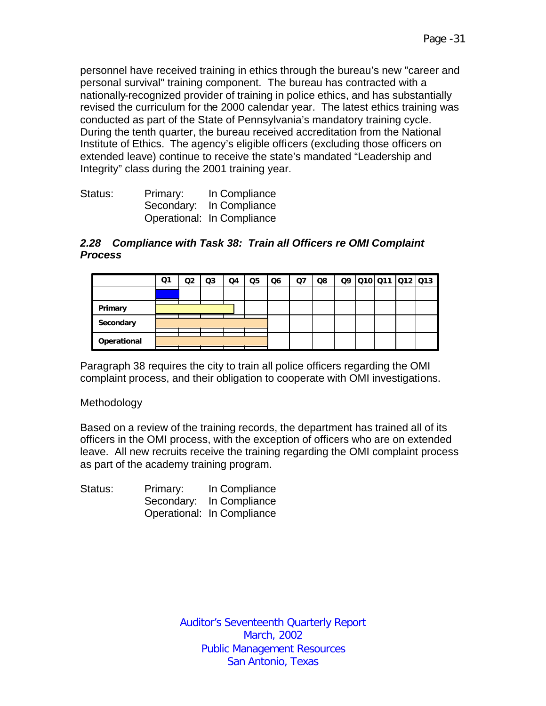personnel have received training in ethics through the bureau's new "career and personal survival" training component. The bureau has contracted with a nationally-recognized provider of training in police ethics, and has substantially revised the curriculum for the 2000 calendar year. The latest ethics training was conducted as part of the State of Pennsylvania's mandatory training cycle. During the tenth quarter, the bureau received accreditation from the National Institute of Ethics. The agency's eligible officers (excluding those officers on extended leave) continue to receive the state's mandated "Leadership and Integrity" class during the 2001 training year.

| Status: | Primary: | In Compliance              |
|---------|----------|----------------------------|
|         |          | Secondary: In Compliance   |
|         |          | Operational: In Compliance |

#### *2.28 Compliance with Task 38: Train all Officers re OMI Complaint Process*

|             | Q1 | Q2 | Q3 | Q4 | Q5 | Q6 | Q7 | Q8 | Q9 | 010 011 012 013 |  |
|-------------|----|----|----|----|----|----|----|----|----|-----------------|--|
|             |    |    |    |    |    |    |    |    |    |                 |  |
| Primary     |    |    |    |    |    |    |    |    |    |                 |  |
| Secondary   |    |    |    |    |    |    |    |    |    |                 |  |
| Operational |    |    |    |    |    |    |    |    |    |                 |  |

Paragraph 38 requires the city to train all police officers regarding the OMI complaint process, and their obligation to cooperate with OMI investigations.

#### Methodology

Based on a review of the training records, the department has trained all of its officers in the OMI process, with the exception of officers who are on extended leave. All new recruits receive the training regarding the OMI complaint process as part of the academy training program.

| Status: | Primary: | In Compliance              |
|---------|----------|----------------------------|
|         |          | Secondary: In Compliance   |
|         |          | Operational: In Compliance |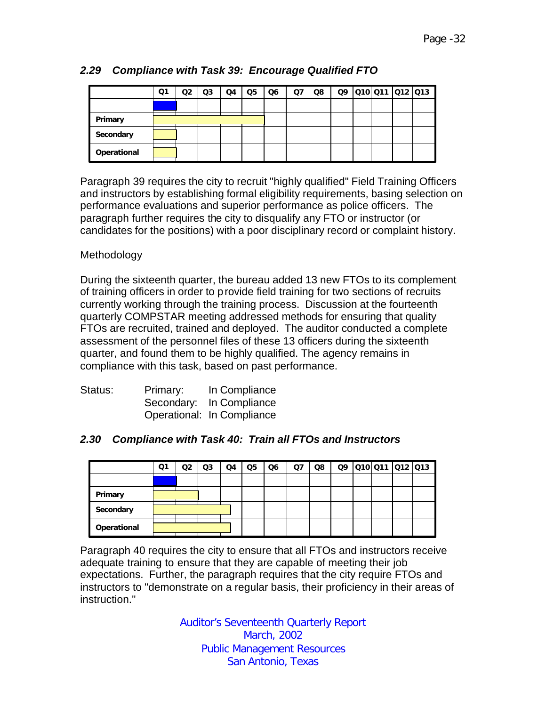|             | Ο1 | Q2 | Q3 | Q4 | Q <sub>5</sub> | Q <sub>6</sub> | Q <sub>7</sub> | Q8 | Q9 | 010 011 012 013 |  |
|-------------|----|----|----|----|----------------|----------------|----------------|----|----|-----------------|--|
|             |    |    |    |    |                |                |                |    |    |                 |  |
| Primary     |    |    |    |    |                |                |                |    |    |                 |  |
| Secondary   |    |    |    |    |                |                |                |    |    |                 |  |
| Operational |    |    |    |    |                |                |                |    |    |                 |  |

# *2.29 Compliance with Task 39: Encourage Qualified FTO*

Paragraph 39 requires the city to recruit "highly qualified" Field Training Officers and instructors by establishing formal eligibility requirements, basing selection on performance evaluations and superior performance as police officers. The paragraph further requires the city to disqualify any FTO or instructor (or candidates for the positions) with a poor disciplinary record or complaint history.

## Methodology

During the sixteenth quarter, the bureau added 13 new FTOs to its complement of training officers in order to provide field training for two sections of recruits currently working through the training process. Discussion at the fourteenth quarterly COMPSTAR meeting addressed methods for ensuring that quality FTOs are recruited, trained and deployed. The auditor conducted a complete assessment of the personnel files of these 13 officers during the sixteenth quarter, and found them to be highly qualified. The agency remains in compliance with this task, based on past performance.

| Status: | Primary: | In Compliance              |
|---------|----------|----------------------------|
|         |          | Secondary: In Compliance   |
|         |          | Operational: In Compliance |

## *2.30 Compliance with Task 40: Train all FTOs and Instructors*

|             | Ο1 | Q2 | Q3 | Q4 | Q <sub>5</sub> | Q <sub>6</sub> | $Q$ 7 | Q8 |  | 09 010 011 012 013 |  |
|-------------|----|----|----|----|----------------|----------------|-------|----|--|--------------------|--|
|             |    |    |    |    |                |                |       |    |  |                    |  |
| Primary     |    |    |    |    |                |                |       |    |  |                    |  |
| Secondary   |    |    |    |    |                |                |       |    |  |                    |  |
| Operational |    |    |    |    |                |                |       |    |  |                    |  |

Paragraph 40 requires the city to ensure that all FTOs and instructors receive adequate training to ensure that they are capable of meeting their job expectations. Further, the paragraph requires that the city require FTOs and instructors to "demonstrate on a regular basis, their proficiency in their areas of instruction."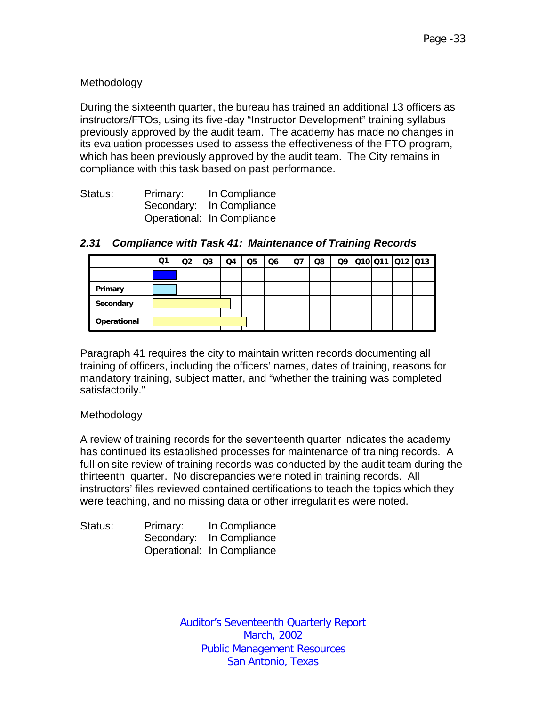## Methodology

During the sixteenth quarter, the bureau has trained an additional 13 officers as instructors/FTOs, using its five-day "Instructor Development" training syllabus previously approved by the audit team. The academy has made no changes in its evaluation processes used to assess the effectiveness of the FTO program, which has been previously approved by the audit team. The City remains in compliance with this task based on past performance.

| Status: | Primary: | In Compliance              |
|---------|----------|----------------------------|
|         |          | Secondary: In Compliance   |
|         |          | Operational: In Compliance |

|             | Q1 | Q <sub>2</sub> | Q <sub>3</sub> | Q4 | Q <sub>5</sub> | Q6 | Q <sub>7</sub> | Q8 | Q9 |  | 010 011 012 013 |  |
|-------------|----|----------------|----------------|----|----------------|----|----------------|----|----|--|-----------------|--|
|             |    |                |                |    |                |    |                |    |    |  |                 |  |
| Primary     |    |                |                |    |                |    |                |    |    |  |                 |  |
| Secondary   |    |                |                |    |                |    |                |    |    |  |                 |  |
| Operational |    |                |                |    |                |    |                |    |    |  |                 |  |

## *2.31 Compliance with Task 41: Maintenance of Training Records*

Paragraph 41 requires the city to maintain written records documenting all training of officers, including the officers' names, dates of training, reasons for mandatory training, subject matter, and "whether the training was completed satisfactorily."

#### Methodology

A review of training records for the seventeenth quarter indicates the academy has continued its established processes for maintenance of training records. A full on-site review of training records was conducted by the audit team during the thirteenth quarter. No discrepancies were noted in training records. All instructors' files reviewed contained certifications to teach the topics which they were teaching, and no missing data or other irregularities were noted.

| Status: | Primary: | In Compliance              |
|---------|----------|----------------------------|
|         |          | Secondary: In Compliance   |
|         |          | Operational: In Compliance |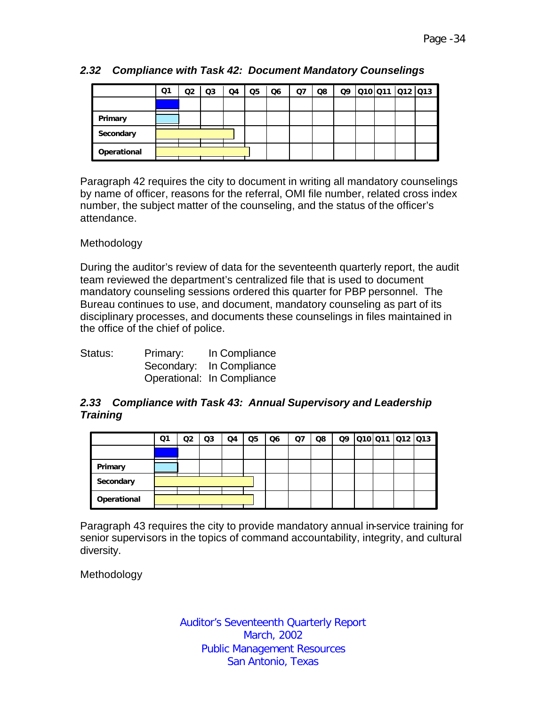|             | Q1 | Q2 | Q3 | Q4 | Q <sub>5</sub> | Q6 | Q7 | Q8 | Q9 | Q10 Q11 Q12 Q13 |  |
|-------------|----|----|----|----|----------------|----|----|----|----|-----------------|--|
|             |    |    |    |    |                |    |    |    |    |                 |  |
| Primary     |    |    |    |    |                |    |    |    |    |                 |  |
| Secondary   |    |    |    |    |                |    |    |    |    |                 |  |
| Operational |    |    |    |    |                |    |    |    |    |                 |  |

## *2.32 Compliance with Task 42: Document Mandatory Counselings*

Paragraph 42 requires the city to document in writing all mandatory counselings by name of officer, reasons for the referral, OMI file number, related cross index number, the subject matter of the counseling, and the status of the officer's attendance.

#### Methodology

During the auditor's review of data for the seventeenth quarterly report, the audit team reviewed the department's centralized file that is used to document mandatory counseling sessions ordered this quarter for PBP personnel. The Bureau continues to use, and document, mandatory counseling as part of its disciplinary processes, and documents these counselings in files maintained in the office of the chief of police.

| Status: | Primary: | In Compliance              |
|---------|----------|----------------------------|
|         |          | Secondary: In Compliance   |
|         |          | Operational: In Compliance |

## *2.33 Compliance with Task 43: Annual Supervisory and Leadership Training*

|             | Q1 | O2 | Q3 | Q4 | Q5 | Q6 | Q7 | Q8 | Q9 | 010 011 012 013 |  |
|-------------|----|----|----|----|----|----|----|----|----|-----------------|--|
|             |    |    |    |    |    |    |    |    |    |                 |  |
| Primary     |    |    |    |    |    |    |    |    |    |                 |  |
| Secondary   |    |    |    |    |    |    |    |    |    |                 |  |
| Operational |    |    |    |    |    |    |    |    |    |                 |  |

Paragraph 43 requires the city to provide mandatory annual in-service training for senior supervisors in the topics of command accountability, integrity, and cultural diversity.

Methodology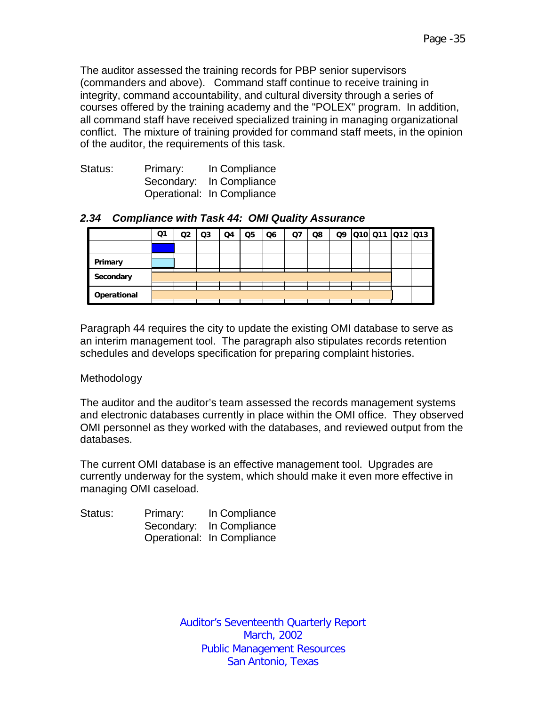The auditor assessed the training records for PBP senior supervisors (commanders and above). Command staff continue to receive training in integrity, command accountability, and cultural diversity through a series of courses offered by the training academy and the "POLEX" program. In addition, all command staff have received specialized training in managing organizational conflict. The mixture of training provided for command staff meets, in the opinion of the auditor, the requirements of this task.

| Status: | Primary: | In Compliance              |
|---------|----------|----------------------------|
|         |          | Secondary: In Compliance   |
|         |          | Operational: In Compliance |

#### *2.34 Compliance with Task 44: OMI Quality Assurance*

|             | Q1 | Q2 | Q <sub>3</sub> | Q4 | Q <sub>5</sub> | Q <sub>6</sub> | Q7 | Q8 |  | 09 010 011 012 013 |  |
|-------------|----|----|----------------|----|----------------|----------------|----|----|--|--------------------|--|
|             |    |    |                |    |                |                |    |    |  |                    |  |
| Primary     |    |    |                |    |                |                |    |    |  |                    |  |
| Secondary   |    |    |                |    |                |                |    |    |  |                    |  |
| Operational |    |    |                |    |                |                |    |    |  |                    |  |
|             |    |    |                |    |                |                |    |    |  |                    |  |

Paragraph 44 requires the city to update the existing OMI database to serve as an interim management tool. The paragraph also stipulates records retention schedules and develops specification for preparing complaint histories.

#### Methodology

The auditor and the auditor's team assessed the records management systems and electronic databases currently in place within the OMI office. They observed OMI personnel as they worked with the databases, and reviewed output from the databases.

The current OMI database is an effective management tool. Upgrades are currently underway for the system, which should make it even more effective in managing OMI caseload.

| Status: | Primary: | In Compliance              |
|---------|----------|----------------------------|
|         |          | Secondary: In Compliance   |
|         |          | Operational: In Compliance |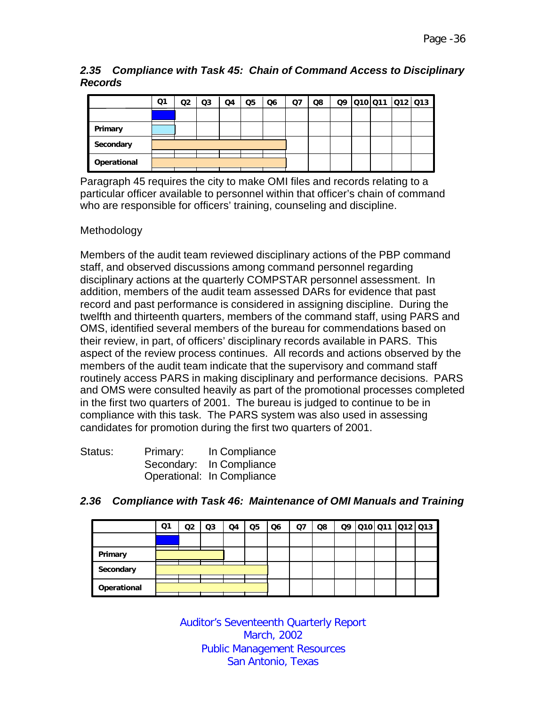#### *2.35 Compliance with Task 45: Chain of Command Access to Disciplinary Records*

|             | Q1 | Q <sub>2</sub> | Q <sub>3</sub> | Q4 | Q <sub>5</sub> | Q <sub>6</sub> | Q7 | Q8 |  | 09 010 011 012 013 |  |
|-------------|----|----------------|----------------|----|----------------|----------------|----|----|--|--------------------|--|
|             |    |                |                |    |                |                |    |    |  |                    |  |
| Primary     |    |                |                |    |                |                |    |    |  |                    |  |
| Secondary   |    |                |                |    |                |                |    |    |  |                    |  |
| Operational |    |                |                |    |                |                |    |    |  |                    |  |

Paragraph 45 requires the city to make OMI files and records relating to a particular officer available to personnel within that officer's chain of command who are responsible for officers' training, counseling and discipline.

## Methodology

Members of the audit team reviewed disciplinary actions of the PBP command staff, and observed discussions among command personnel regarding disciplinary actions at the quarterly COMPSTAR personnel assessment. In addition, members of the audit team assessed DARs for evidence that past record and past performance is considered in assigning discipline. During the twelfth and thirteenth quarters, members of the command staff, using PARS and OMS, identified several members of the bureau for commendations based on their review, in part, of officers' disciplinary records available in PARS. This aspect of the review process continues. All records and actions observed by the members of the audit team indicate that the supervisory and command staff routinely access PARS in making disciplinary and performance decisions. PARS and OMS were consulted heavily as part of the promotional processes completed in the first two quarters of 2001. The bureau is judged to continue to be in compliance with this task. The PARS system was also used in assessing candidates for promotion during the first two quarters of 2001.

| Status: | Primary: | In Compliance              |
|---------|----------|----------------------------|
|         |          | Secondary: In Compliance   |
|         |          | Operational: In Compliance |

|             | Q1 | Q <sub>2</sub> | Q3 | Q4 | Q5 | Q6 | Q7 | Q8 |  | Q9 010 011 012 013 |  |
|-------------|----|----------------|----|----|----|----|----|----|--|--------------------|--|
|             |    |                |    |    |    |    |    |    |  |                    |  |
| Primary     |    |                |    |    |    |    |    |    |  |                    |  |
| Secondary   |    |                |    |    |    |    |    |    |  |                    |  |
| Operational |    |                |    |    |    |    |    |    |  |                    |  |

#### *2.36 Compliance with Task 46: Maintenance of OMI Manuals and Training*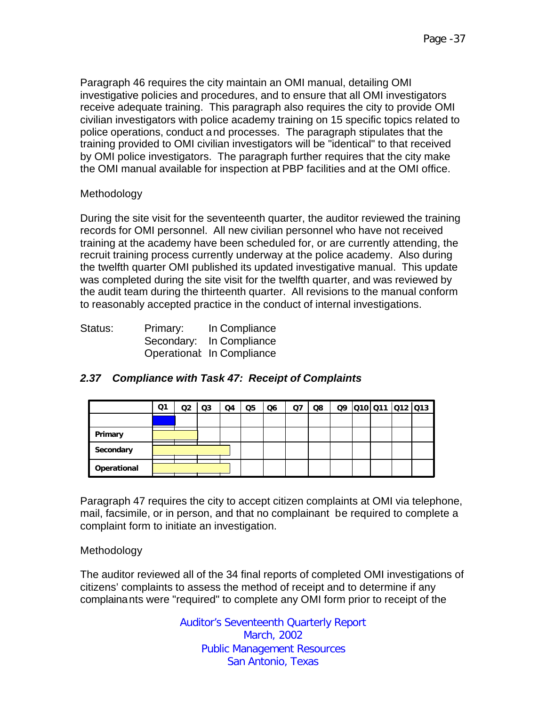Paragraph 46 requires the city maintain an OMI manual, detailing OMI investigative policies and procedures, and to ensure that all OMI investigators receive adequate training. This paragraph also requires the city to provide OMI civilian investigators with police academy training on 15 specific topics related to police operations, conduct and processes. The paragraph stipulates that the training provided to OMI civilian investigators will be "identical" to that received by OMI police investigators. The paragraph further requires that the city make the OMI manual available for inspection at PBP facilities and at the OMI office.

## Methodology

During the site visit for the seventeenth quarter, the auditor reviewed the training records for OMI personnel. All new civilian personnel who have not received training at the academy have been scheduled for, or are currently attending, the recruit training process currently underway at the police academy. Also during the twelfth quarter OMI published its updated investigative manual. This update was completed during the site visit for the twelfth quarter, and was reviewed by the audit team during the thirteenth quarter. All revisions to the manual conform to reasonably accepted practice in the conduct of internal investigations.

| Status: | Primary: | In Compliance              |
|---------|----------|----------------------------|
|         |          | Secondary: In Compliance   |
|         |          | Operational: In Compliance |

## *2.37 Compliance with Task 47: Receipt of Complaints*

|             | Q1 | Q2 | Q3 | Q4 | Q <sub>5</sub> | Q6 | Ο7 | Q8 |  | Q9 Q10 Q11 Q12 Q13 |  |
|-------------|----|----|----|----|----------------|----|----|----|--|--------------------|--|
|             |    |    |    |    |                |    |    |    |  |                    |  |
| Primary     |    |    |    |    |                |    |    |    |  |                    |  |
| Secondary   |    |    |    |    |                |    |    |    |  |                    |  |
| Operational |    |    |    |    |                |    |    |    |  |                    |  |

Paragraph 47 requires the city to accept citizen complaints at OMI via telephone, mail, facsimile, or in person, and that no complainant be required to complete a complaint form to initiate an investigation.

#### Methodology

The auditor reviewed all of the 34 final reports of completed OMI investigations of citizens' complaints to assess the method of receipt and to determine if any complainants were "required" to complete any OMI form prior to receipt of the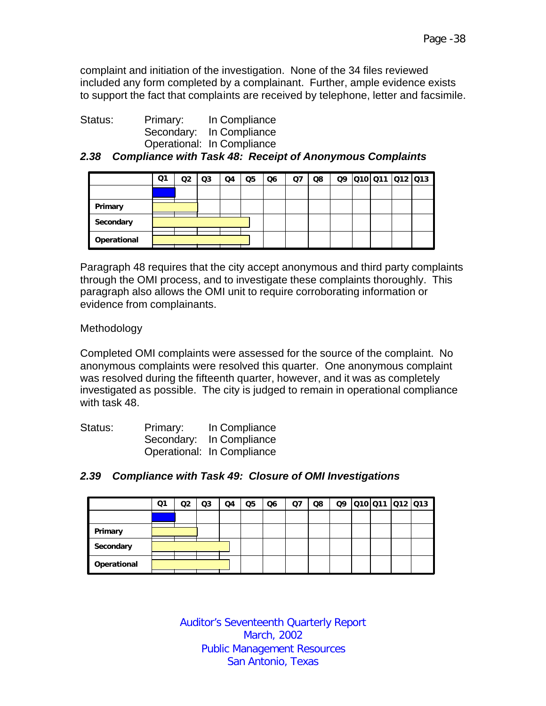complaint and initiation of the investigation. None of the 34 files reviewed included any form completed by a complainant. Further, ample evidence exists to support the fact that complaints are received by telephone, letter and facsimile.

| Status: | Primary: | In Compliance              |
|---------|----------|----------------------------|
|         |          | Secondary: In Compliance   |
|         |          | Operational: In Compliance |

*2.38 Compliance with Task 48: Receipt of Anonymous Complaints*

|             | Q1 | Q2 | Q3 | Q4 | Q <sub>5</sub> | Q6 | Q7 | Q8 | Q9 |  | 010 011 012 013 |
|-------------|----|----|----|----|----------------|----|----|----|----|--|-----------------|
|             |    |    |    |    |                |    |    |    |    |  |                 |
| Primary     |    |    |    |    |                |    |    |    |    |  |                 |
| Secondary   |    |    |    |    |                |    |    |    |    |  |                 |
| Operational |    |    |    |    |                |    |    |    |    |  |                 |

Paragraph 48 requires that the city accept anonymous and third party complaints through the OMI process, and to investigate these complaints thoroughly. This paragraph also allows the OMI unit to require corroborating information or evidence from complainants.

Methodology

Completed OMI complaints were assessed for the source of the complaint. No anonymous complaints were resolved this quarter. One anonymous complaint was resolved during the fifteenth quarter, however, and it was as completely investigated as possible. The city is judged to remain in operational compliance with task 48.

| Status: | Primary: | In Compliance              |
|---------|----------|----------------------------|
|         |          | Secondary: In Compliance   |
|         |          | Operational: In Compliance |

|             | Ο1 | Ο2 | Q3 | Q4 | Q5 | Q6 | Q7 | Q8 | Q9 | Q10 Q11 Q12 Q13 |  |
|-------------|----|----|----|----|----|----|----|----|----|-----------------|--|
|             |    |    |    |    |    |    |    |    |    |                 |  |
| Primary     |    |    |    |    |    |    |    |    |    |                 |  |
| Secondary   |    |    |    |    |    |    |    |    |    |                 |  |
| Operational |    |    |    |    |    |    |    |    |    |                 |  |

## *2.39 Compliance with Task 49: Closure of OMI Investigations*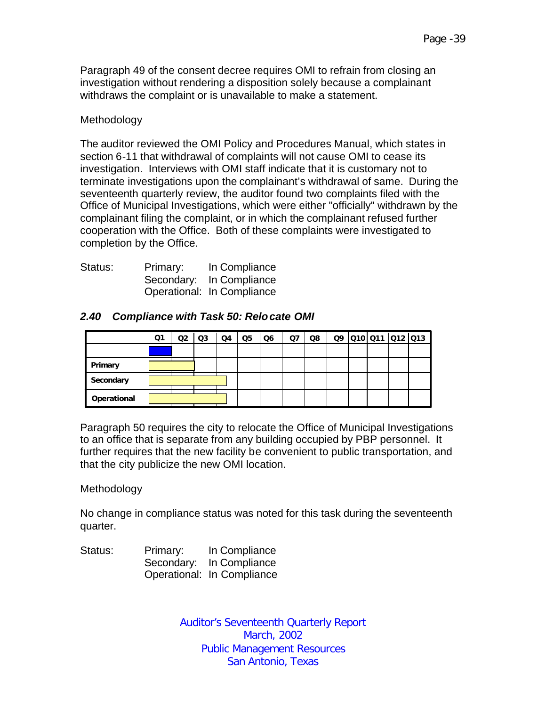Paragraph 49 of the consent decree requires OMI to refrain from closing an investigation without rendering a disposition solely because a complainant withdraws the complaint or is unavailable to make a statement.

#### Methodology

The auditor reviewed the OMI Policy and Procedures Manual, which states in section 6-11 that withdrawal of complaints will not cause OMI to cease its investigation. Interviews with OMI staff indicate that it is customary not to terminate investigations upon the complainant's withdrawal of same. During the seventeenth quarterly review, the auditor found two complaints filed with the Office of Municipal Investigations, which were either "officially" withdrawn by the complainant filing the complaint, or in which the complainant refused further cooperation with the Office. Both of these complaints were investigated to completion by the Office.

| Status: | Primary: | In Compliance              |
|---------|----------|----------------------------|
|         |          | Secondary: In Compliance   |
|         |          | Operational: In Compliance |

#### *2.40 Compliance with Task 50: Relocate OMI*

|             | Q1 | Q <sub>2</sub> | Q3 | Q4 | Q <sub>5</sub> | Q6 | Q7 | Q8 |  | 09 010 011 012 013 |  |
|-------------|----|----------------|----|----|----------------|----|----|----|--|--------------------|--|
|             |    |                |    |    |                |    |    |    |  |                    |  |
| Primary     |    |                |    |    |                |    |    |    |  |                    |  |
| Secondary   |    |                |    |    |                |    |    |    |  |                    |  |
| Operational |    |                |    |    |                |    |    |    |  |                    |  |

Paragraph 50 requires the city to relocate the Office of Municipal Investigations to an office that is separate from any building occupied by PBP personnel. It further requires that the new facility be convenient to public transportation, and that the city publicize the new OMI location.

#### Methodology

No change in compliance status was noted for this task during the seventeenth quarter.

Status: Primary: In Compliance Secondary: In Compliance Operational: In Compliance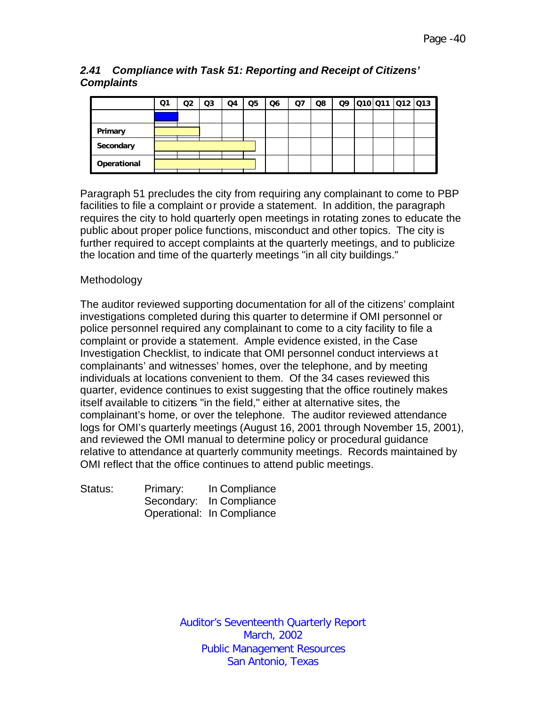## *2.41 Compliance with Task 51: Reporting and Receipt of Citizens' Complaints*

|             | Q1 | Q2 | Q <sub>3</sub> | Q4 | Q <sub>5</sub> | Q <sub>6</sub> | Q7 | Q8 | Q9 | 010 011 012 013 |  |
|-------------|----|----|----------------|----|----------------|----------------|----|----|----|-----------------|--|
|             |    |    |                |    |                |                |    |    |    |                 |  |
| Primary     |    |    |                |    |                |                |    |    |    |                 |  |
| Secondary   |    |    |                |    |                |                |    |    |    |                 |  |
| Operational |    |    |                |    |                |                |    |    |    |                 |  |

Paragraph 51 precludes the city from requiring any complainant to come to PBP facilities to file a complaint or provide a statement. In addition, the paragraph requires the city to hold quarterly open meetings in rotating zones to educate the public about proper police functions, misconduct and other topics. The city is further required to accept complaints at the quarterly meetings, and to publicize the location and time of the quarterly meetings "in all city buildings."

## Methodology

The auditor reviewed supporting documentation for all of the citizens' complaint investigations completed during this quarter to determine if OMI personnel or police personnel required any complainant to come to a city facility to file a complaint or provide a statement. Ample evidence existed, in the Case Investigation Checklist, to indicate that OMI personnel conduct interviews at complainants' and witnesses' homes, over the telephone, and by meeting individuals at locations convenient to them. Of the 34 cases reviewed this quarter, evidence continues to exist suggesting that the office routinely makes itself available to citizens "in the field," either at alternative sites, the complainant's home, or over the telephone. The auditor reviewed attendance logs for OMI's quarterly meetings (August 16, 2001 through November 15, 2001), and reviewed the OMI manual to determine policy or procedural guidance relative to attendance at quarterly community meetings. Records maintained by OMI reflect that the office continues to attend public meetings.

| Status: | Primary: | In Compliance              |
|---------|----------|----------------------------|
|         |          | Secondary: In Compliance   |
|         |          | Operational: In Compliance |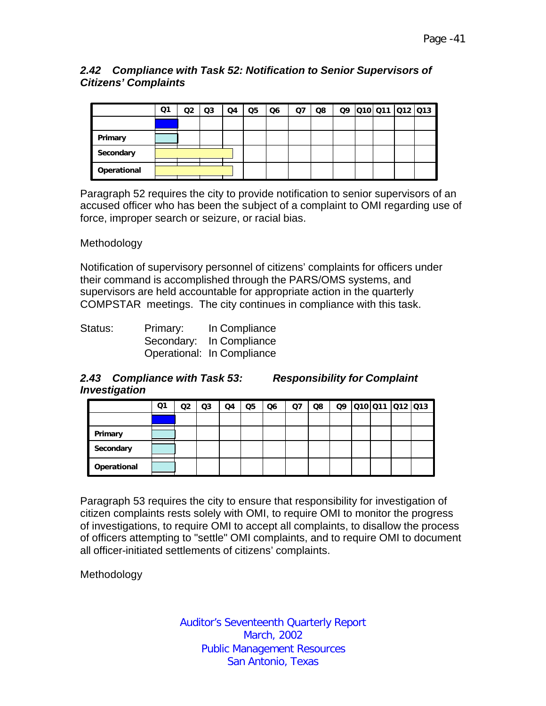## *2.42 Compliance with Task 52: Notification to Senior Supervisors of Citizens' Complaints*

|             | Ο1 | Q2 | Q <sub>3</sub> | Q4 | Q <sub>5</sub> | Q <sub>6</sub> | <b>Q7</b> | Q8 |  |  | 09 010 011 012 013 |
|-------------|----|----|----------------|----|----------------|----------------|-----------|----|--|--|--------------------|
|             |    |    |                |    |                |                |           |    |  |  |                    |
| Primary     |    |    |                |    |                |                |           |    |  |  |                    |
| Secondary   |    |    |                |    |                |                |           |    |  |  |                    |
| Operational |    |    |                |    |                |                |           |    |  |  |                    |

Paragraph 52 requires the city to provide notification to senior supervisors of an accused officer who has been the subject of a complaint to OMI regarding use of force, improper search or seizure, or racial bias.

## Methodology

Notification of supervisory personnel of citizens' complaints for officers under their command is accomplished through the PARS/OMS systems, and supervisors are held accountable for appropriate action in the quarterly COMPSTAR meetings. The city continues in compliance with this task.

| Status: | Primary: | In Compliance              |
|---------|----------|----------------------------|
|         |          | Secondary: In Compliance   |
|         |          | Operational: In Compliance |

## *2.43 Compliance with Task 53: Responsibility for Complaint Investigation*

|             | Q1 | Q2 | Q <sub>3</sub> | Q4 | Q <sub>5</sub> | Q <sub>6</sub> | Ω7 | Q8 | Q9 | 010 011 012 013 |  |
|-------------|----|----|----------------|----|----------------|----------------|----|----|----|-----------------|--|
|             |    |    |                |    |                |                |    |    |    |                 |  |
| Primary     |    |    |                |    |                |                |    |    |    |                 |  |
| Secondary   |    |    |                |    |                |                |    |    |    |                 |  |
| Operational |    |    |                |    |                |                |    |    |    |                 |  |

Paragraph 53 requires the city to ensure that responsibility for investigation of citizen complaints rests solely with OMI, to require OMI to monitor the progress of investigations, to require OMI to accept all complaints, to disallow the process of officers attempting to "settle" OMI complaints, and to require OMI to document all officer-initiated settlements of citizens' complaints.

Methodology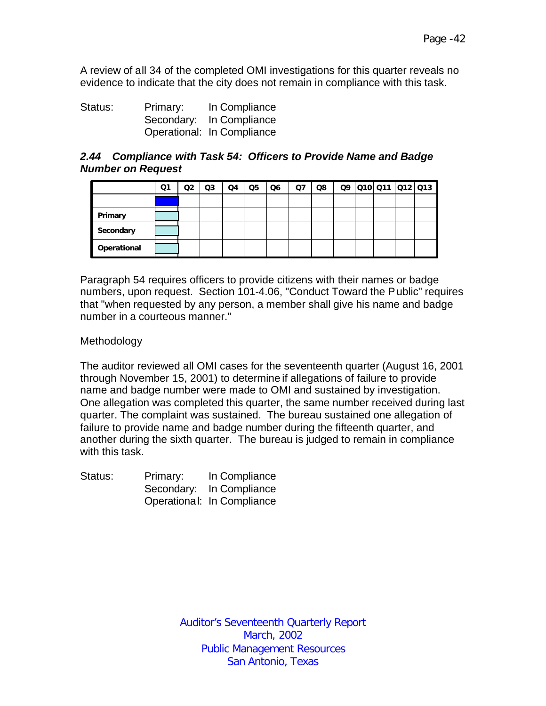A review of all 34 of the completed OMI investigations for this quarter reveals no evidence to indicate that the city does not remain in compliance with this task.

Status: Primary: In Compliance Secondary: In Compliance Operational: In Compliance

#### *2.44 Compliance with Task 54: Officers to Provide Name and Badge Number on Request*

|             | Q1 | Q2 | Q <sub>3</sub> | Q4 | Q <sub>5</sub> | Q6 | Q7 | Q8 |  | Q9 010 011 012 013 |  |
|-------------|----|----|----------------|----|----------------|----|----|----|--|--------------------|--|
|             |    |    |                |    |                |    |    |    |  |                    |  |
| Primary     |    |    |                |    |                |    |    |    |  |                    |  |
| Secondary   |    |    |                |    |                |    |    |    |  |                    |  |
| Operational |    |    |                |    |                |    |    |    |  |                    |  |

Paragraph 54 requires officers to provide citizens with their names or badge numbers, upon request. Section 101-4.06, "Conduct Toward the Public" requires that "when requested by any person, a member shall give his name and badge number in a courteous manner."

#### Methodology

The auditor reviewed all OMI cases for the seventeenth quarter (August 16, 2001 through November 15, 2001) to determine if allegations of failure to provide name and badge number were made to OMI and sustained by investigation. One allegation was completed this quarter, the same number received during last quarter. The complaint was sustained. The bureau sustained one allegation of failure to provide name and badge number during the fifteenth quarter, and another during the sixth quarter. The bureau is judged to remain in compliance with this task.

| Status: | Primary: | In Compliance              |
|---------|----------|----------------------------|
|         |          | Secondary: In Compliance   |
|         |          | Operational: In Compliance |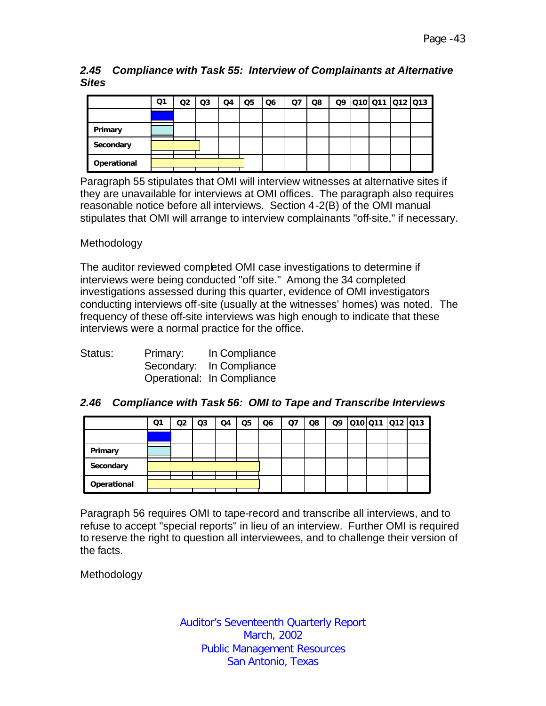*2.45 Compliance with Task 55: Interview of Complainants at Alternative Sites*

|             | Q1 | Q2 | Q3 | Q4 | Q <sub>5</sub> | Q6 | Q7 | Q8 | Q9 | 010 011 012 013 |  |
|-------------|----|----|----|----|----------------|----|----|----|----|-----------------|--|
|             |    |    |    |    |                |    |    |    |    |                 |  |
| Primary     |    |    |    |    |                |    |    |    |    |                 |  |
| Secondary   |    |    |    |    |                |    |    |    |    |                 |  |
| Operational |    |    |    |    |                |    |    |    |    |                 |  |

Paragraph 55 stipulates that OMI will interview witnesses at alternative sites if they are unavailable for interviews at OMI offices. The paragraph also requires reasonable notice before all interviews. Section 4-2(B) of the OMI manual stipulates that OMI will arrange to interview complainants "off-site," if necessary.

#### Methodology

The auditor reviewed completed OMI case investigations to determine if interviews were being conducted "off site." Among the 34 completed investigations assessed during this quarter, evidence of OMI investigators conducting interviews off-site (usually at the witnesses' homes) was noted. The frequency of these off-site interviews was high enough to indicate that these interviews were a normal practice for the office.

| Status: | Primary: | In Compliance              |
|---------|----------|----------------------------|
|         |          | Secondary: In Compliance   |
|         |          | Operational: In Compliance |

| 2.46 Compliance with Task 56: OMI to Tape and Transcribe Interviews |  |  |  |
|---------------------------------------------------------------------|--|--|--|
|                                                                     |  |  |  |

|             | Q1 | Q2 | Q3 | Q4 | Q <sub>5</sub> | Q <sub>6</sub> | Q7 | Q8 | Q9 | 010 011 012 013 |  |
|-------------|----|----|----|----|----------------|----------------|----|----|----|-----------------|--|
|             |    |    |    |    |                |                |    |    |    |                 |  |
| Primary     |    |    |    |    |                |                |    |    |    |                 |  |
| Secondary   |    |    |    |    |                |                |    |    |    |                 |  |
| Operational |    |    |    |    |                |                |    |    |    |                 |  |

Paragraph 56 requires OMI to tape-record and transcribe all interviews, and to refuse to accept "special reports" in lieu of an interview. Further OMI is required to reserve the right to question all interviewees, and to challenge their version of the facts.

Methodology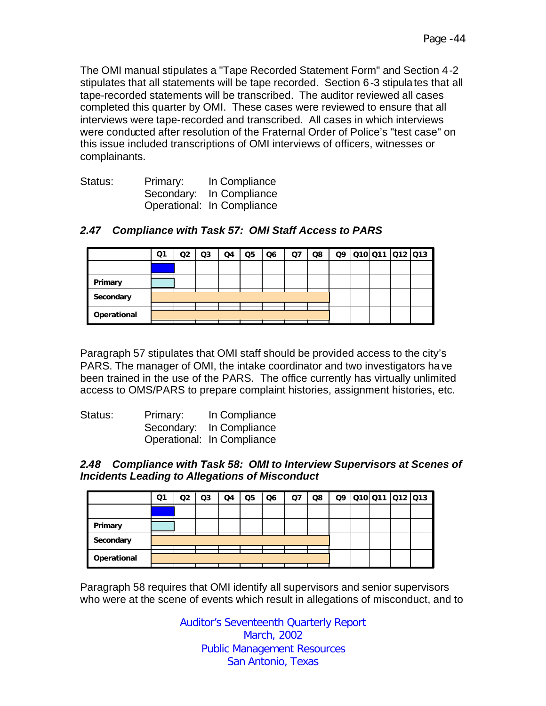The OMI manual stipulates a "Tape Recorded Statement Form" and Section 4-2 stipulates that all statements will be tape recorded. Section 6-3 stipulates that all tape-recorded statements will be transcribed. The auditor reviewed all cases completed this quarter by OMI. These cases were reviewed to ensure that all interviews were tape-recorded and transcribed. All cases in which interviews were conducted after resolution of the Fraternal Order of Police's "test case" on this issue included transcriptions of OMI interviews of officers, witnesses or complainants.

| Status: | Primary: | In Compliance              |
|---------|----------|----------------------------|
|         |          | Secondary: In Compliance   |
|         |          | Operational: In Compliance |

|             | Q1 | Q2 | Q <sub>3</sub> | Q4 | Q <sub>5</sub> | Q6 | Q7 | Q8 |  | 09 010 011 012 013 |  |
|-------------|----|----|----------------|----|----------------|----|----|----|--|--------------------|--|
|             |    |    |                |    |                |    |    |    |  |                    |  |
| Primary     |    |    |                |    |                |    |    |    |  |                    |  |
| Secondary   |    |    |                |    |                |    |    |    |  |                    |  |
| Operational |    |    |                |    |                |    |    |    |  |                    |  |

## *2.47 Compliance with Task 57: OMI Staff Access to PARS*

Paragraph 57 stipulates that OMI staff should be provided access to the city's PARS. The manager of OMI, the intake coordinator and two investigators have been trained in the use of the PARS. The office currently has virtually unlimited access to OMS/PARS to prepare complaint histories, assignment histories, etc.

| Status: | Primary: | In Compliance              |
|---------|----------|----------------------------|
|         |          | Secondary: In Compliance   |
|         |          | Operational: In Compliance |

#### *2.48 Compliance with Task 58: OMI to Interview Supervisors at Scenes of Incidents Leading to Allegations of Misconduct*

|             | Ο1 | Q2 | Q3 | Q4 | Q <sub>5</sub> | Q6 | Q7 | Q8 |  | Q9 Q10 Q11 Q12 Q13 |  |
|-------------|----|----|----|----|----------------|----|----|----|--|--------------------|--|
|             |    |    |    |    |                |    |    |    |  |                    |  |
| Primary     |    |    |    |    |                |    |    |    |  |                    |  |
| Secondary   |    |    |    |    |                |    |    |    |  |                    |  |
| Operational |    |    |    |    |                |    |    |    |  |                    |  |

Paragraph 58 requires that OMI identify all supervisors and senior supervisors who were at the scene of events which result in allegations of misconduct, and to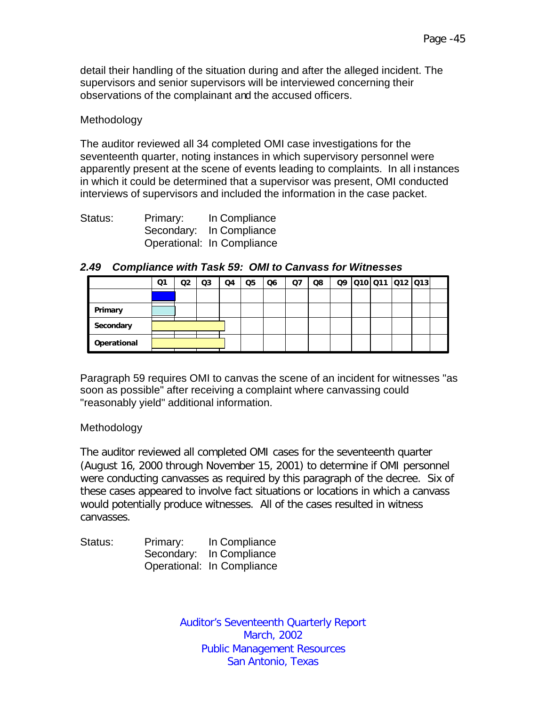detail their handling of the situation during and after the alleged incident. The supervisors and senior supervisors will be interviewed concerning their observations of the complainant and the accused officers.

#### Methodology

The auditor reviewed all 34 completed OMI case investigations for the seventeenth quarter, noting instances in which supervisory personnel were apparently present at the scene of events leading to complaints. In all instances in which it could be determined that a supervisor was present, OMI conducted interviews of supervisors and included the information in the case packet.

| Status: | Primary: | In Compliance              |
|---------|----------|----------------------------|
|         |          | Secondary: In Compliance   |
|         |          | Operational: In Compliance |

|             | Q1 | Q2 | Q3 | Q4 | Q <sub>5</sub> | Q <sub>6</sub> | Q <sub>7</sub> | Q8 |  | 09 010 011 012 013 |  |  |
|-------------|----|----|----|----|----------------|----------------|----------------|----|--|--------------------|--|--|
|             |    |    |    |    |                |                |                |    |  |                    |  |  |
| Primary     |    |    |    |    |                |                |                |    |  |                    |  |  |
| Secondary   |    |    |    |    |                |                |                |    |  |                    |  |  |
| Operational |    |    |    |    |                |                |                |    |  |                    |  |  |

#### *2.49 Compliance with Task 59: OMI to Canvass for Witnesses*

Paragraph 59 requires OMI to canvas the scene of an incident for witnesses "as soon as possible" after receiving a complaint where canvassing could "reasonably yield" additional information.

#### Methodology

The auditor reviewed all completed OMI cases for the seventeenth quarter (August 16, 2000 through November 15, 2001) to determine if OMI personnel were conducting canvasses as required by this paragraph of the decree. Six of these cases appeared to involve fact situations or locations in which a canvass would potentially produce witnesses. All of the cases resulted in witness canvasses.

| Status: | Primary: | In Compliance              |
|---------|----------|----------------------------|
|         |          | Secondary: In Compliance   |
|         |          | Operational: In Compliance |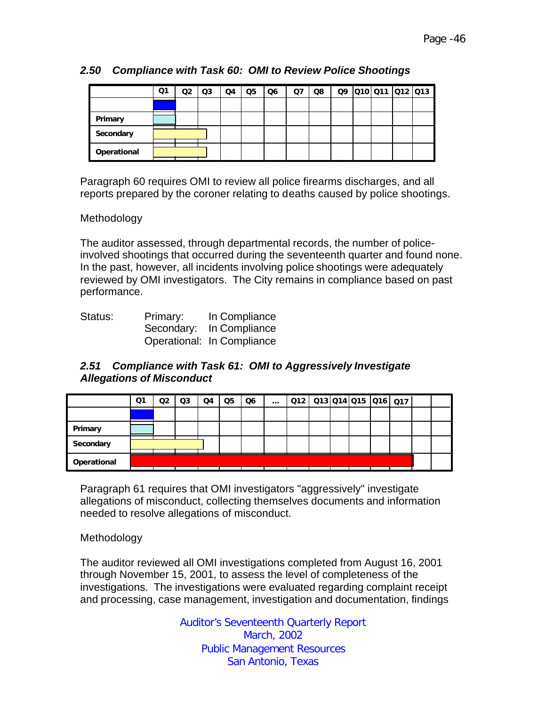|             | Ο1 | Q2 | Q3 | Q4 | Q <sub>5</sub> | Q6 | Q7 | Q8 |  |  | Q9 Q10 Q11 Q12 Q13 |
|-------------|----|----|----|----|----------------|----|----|----|--|--|--------------------|
|             |    |    |    |    |                |    |    |    |  |  |                    |
| Primary     |    |    |    |    |                |    |    |    |  |  |                    |
| Secondary   |    |    |    |    |                |    |    |    |  |  |                    |
| Operational |    |    |    |    |                |    |    |    |  |  |                    |

## *2.50 Compliance with Task 60: OMI to Review Police Shootings*

Paragraph 60 requires OMI to review all police firearms discharges, and all reports prepared by the coroner relating to deaths caused by police shootings.

#### Methodology

The auditor assessed, through departmental records, the number of policeinvolved shootings that occurred during the seventeenth quarter and found none. In the past, however, all incidents involving police shootings were adequately reviewed by OMI investigators. The City remains in compliance based on past performance.

| Status: | Primary: | In Compliance              |
|---------|----------|----------------------------|
|         |          | Secondary: In Compliance   |
|         |          | Operational: In Compliance |

#### *2.51 Compliance with Task 61: OMI to Aggressively Investigate Allegations of Misconduct*

|             | Q1 | Q2 | Q <sub>3</sub> | Q4 | Q <sub>5</sub> | Q <sub>6</sub> | $\cdots$ |  |  | $Q12$ $Q13$ $Q14$ $Q15$ $Q16$ $Q17$ |  |
|-------------|----|----|----------------|----|----------------|----------------|----------|--|--|-------------------------------------|--|
|             |    |    |                |    |                |                |          |  |  |                                     |  |
| Primary     |    |    |                |    |                |                |          |  |  |                                     |  |
| Secondary   |    |    |                |    |                |                |          |  |  |                                     |  |
| Operational |    |    |                |    |                |                |          |  |  |                                     |  |

Paragraph 61 requires that OMI investigators "aggressively" investigate allegations of misconduct, collecting themselves documents and information needed to resolve allegations of misconduct.

#### Methodology

The auditor reviewed all OMI investigations completed from August 16, 2001 through November 15, 2001, to assess the level of completeness of the investigations. The investigations were evaluated regarding complaint receipt and processing, case management, investigation and documentation, findings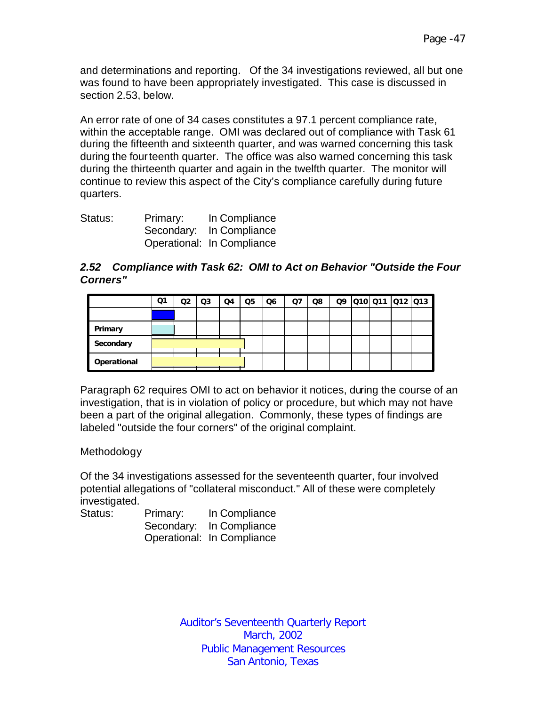and determinations and reporting. Of the 34 investigations reviewed, all but one was found to have been appropriately investigated. This case is discussed in section 2.53, below.

An error rate of one of 34 cases constitutes a 97.1 percent compliance rate, within the acceptable range. OMI was declared out of compliance with Task 61 during the fifteenth and sixteenth quarter, and was warned concerning this task during the fourteenth quarter. The office was also warned concerning this task during the thirteenth quarter and again in the twelfth quarter. The monitor will continue to review this aspect of the City's compliance carefully during future quarters.

| Status: | Primary: | In Compliance              |
|---------|----------|----------------------------|
|         |          | Secondary: In Compliance   |
|         |          | Operational: In Compliance |

#### *2.52 Compliance with Task 62: OMI to Act on Behavior "Outside the Four Corners"*

|             | Ο1 | Q2 | Q3 | Q4 | Q <sub>5</sub> | Q <sub>6</sub> | Q7 | Q8 | Q9 | Q10 Q11 Q12 Q13 |  |
|-------------|----|----|----|----|----------------|----------------|----|----|----|-----------------|--|
|             |    |    |    |    |                |                |    |    |    |                 |  |
| Primary     |    |    |    |    |                |                |    |    |    |                 |  |
| Secondary   |    |    |    |    |                |                |    |    |    |                 |  |
| Operational |    |    |    |    |                |                |    |    |    |                 |  |

Paragraph 62 requires OMI to act on behavior it notices, during the course of an investigation, that is in violation of policy or procedure, but which may not have been a part of the original allegation. Commonly, these types of findings are labeled "outside the four corners" of the original complaint.

#### Methodology

Of the 34 investigations assessed for the seventeenth quarter, four involved potential allegations of "collateral misconduct." All of these were completely investigated.

| Status: | Primary: | In Compliance              |
|---------|----------|----------------------------|
|         |          | Secondary: In Compliance   |
|         |          | Operational: In Compliance |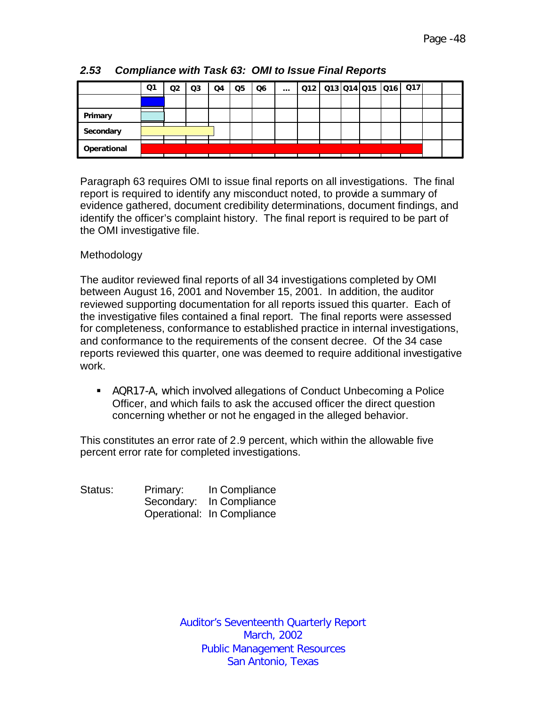|             | Q1 | Q2 | Q <sub>3</sub> | Q4 | Q5 | Q6 | $\cdots$ |  |  | $Q12$   $Q13$   $Q14$   $Q15$   $Q16$   $Q17$ |  |
|-------------|----|----|----------------|----|----|----|----------|--|--|-----------------------------------------------|--|
|             |    |    |                |    |    |    |          |  |  |                                               |  |
| Primary     |    |    |                |    |    |    |          |  |  |                                               |  |
| Secondary   |    |    |                |    |    |    |          |  |  |                                               |  |
| Operational |    |    |                |    |    |    |          |  |  |                                               |  |

*2.53 Compliance with Task 63: OMI to Issue Final Reports*

Paragraph 63 requires OMI to issue final reports on all investigations. The final report is required to identify any misconduct noted, to provide a summary of evidence gathered, document credibility determinations, document findings, and identify the officer's complaint history. The final report is required to be part of the OMI investigative file.

## Methodology

The auditor reviewed final reports of all 34 investigations completed by OMI between August 16, 2001 and November 15, 2001. In addition, the auditor reviewed supporting documentation for all reports issued this quarter. Each of the investigative files contained a final report. The final reports were assessed for completeness, conformance to established practice in internal investigations, and conformance to the requirements of the consent decree. Of the 34 case reports reviewed this quarter, one was deemed to require additional investigative work.

**• AQR17-A, which involved allegations of Conduct Unbecoming a Police** Officer, and which fails to ask the accused officer the direct question concerning whether or not he engaged in the alleged behavior.

This constitutes an error rate of 2.9 percent, which within the allowable five percent error rate for completed investigations.

Status: Primary: In Compliance Secondary: In Compliance Operational: In Compliance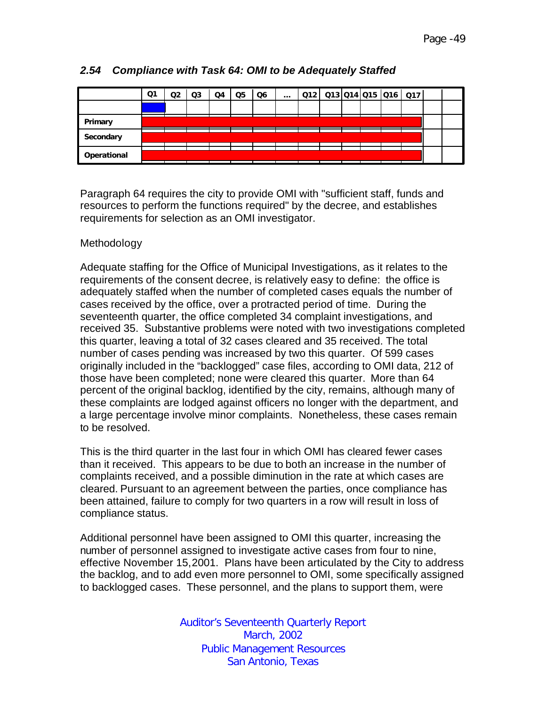|             | Q1 | Q2 | Q3 | Q4 | Q5 | Q6 | $\cdots$ | 012   013   014   015   016   017 |  |  |  |  |
|-------------|----|----|----|----|----|----|----------|-----------------------------------|--|--|--|--|
|             |    |    |    |    |    |    |          |                                   |  |  |  |  |
| Primary     |    |    |    |    |    |    |          |                                   |  |  |  |  |
| Secondary   |    |    |    |    |    |    |          |                                   |  |  |  |  |
|             |    |    |    |    |    |    |          |                                   |  |  |  |  |
| Operational |    |    |    |    |    |    |          |                                   |  |  |  |  |

# *2.54 Compliance with Task 64: OMI to be Adequately Staffed*

Paragraph 64 requires the city to provide OMI with "sufficient staff, funds and resources to perform the functions required" by the decree, and establishes requirements for selection as an OMI investigator.

## Methodology

Adequate staffing for the Office of Municipal Investigations, as it relates to the requirements of the consent decree, is relatively easy to define: the office is adequately staffed when the number of completed cases equals the number of cases received by the office, over a protracted period of time. During the seventeenth quarter, the office completed 34 complaint investigations, and received 35. Substantive problems were noted with two investigations completed this quarter, leaving a total of 32 cases cleared and 35 received. The total number of cases pending was increased by two this quarter. Of 599 cases originally included in the "backlogged" case files, according to OMI data, 212 of those have been completed; none were cleared this quarter. More than 64 percent of the original backlog, identified by the city, remains, although many of these complaints are lodged against officers no longer with the department, and a large percentage involve minor complaints. Nonetheless, these cases remain to be resolved.

This is the third quarter in the last four in which OMI has cleared fewer cases than it received. This appears to be due to both an increase in the number of complaints received, and a possible diminution in the rate at which cases are cleared. Pursuant to an agreement between the parties, once compliance has been attained, failure to comply for two quarters in a row will result in loss of compliance status.

Additional personnel have been assigned to OMI this quarter, increasing the number of personnel assigned to investigate active cases from four to nine, effective November 15,2001. Plans have been articulated by the City to address the backlog, and to add even more personnel to OMI, some specifically assigned to backlogged cases. These personnel, and the plans to support them, were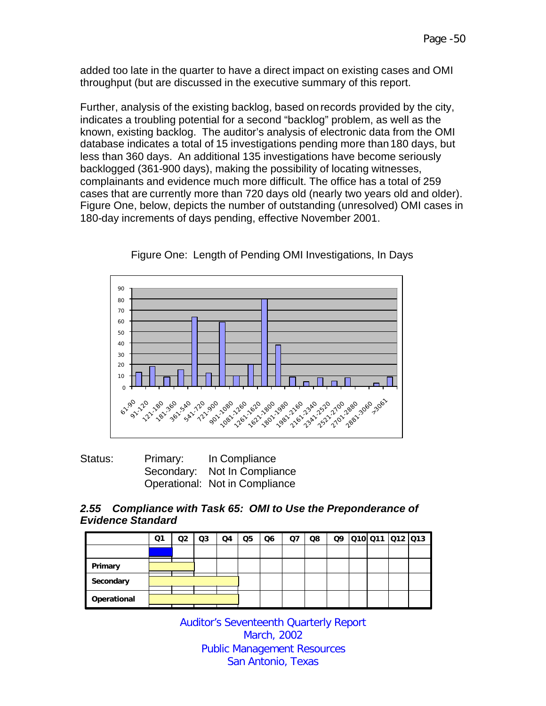added too late in the quarter to have a direct impact on existing cases and OMI throughput (but are discussed in the executive summary of this report.

Further, analysis of the existing backlog, based on records provided by the city, indicates a troubling potential for a second "backlog" problem, as well as the known, existing backlog. The auditor's analysis of electronic data from the OMI database indicates a total of 15 investigations pending more than 180 days, but less than 360 days. An additional 135 investigations have become seriously backlogged (361-900 days), making the possibility of locating witnesses, complainants and evidence much more difficult. The office has a total of 259 cases that are currently more than 720 days old (nearly two years old and older). Figure One, below, depicts the number of outstanding (unresolved) OMI cases in 180-day increments of days pending, effective November 2001.



Figure One: Length of Pending OMI Investigations, In Days

| Status: | Primary: | In Compliance                  |
|---------|----------|--------------------------------|
|         |          | Secondary: Not In Compliance   |
|         |          | Operational: Not in Compliance |

## *2.55 Compliance with Task 65: OMI to Use the Preponderance of Evidence Standard*

|             | Q1 | O2 | Q3 | Q4 | Q5 | Q6 | Q7 | Q8 | Q9 | 010 011 012 013 |  |
|-------------|----|----|----|----|----|----|----|----|----|-----------------|--|
|             |    |    |    |    |    |    |    |    |    |                 |  |
| Primary     |    |    |    |    |    |    |    |    |    |                 |  |
| Secondary   |    |    |    |    |    |    |    |    |    |                 |  |
| Operational |    |    |    |    |    |    |    |    |    |                 |  |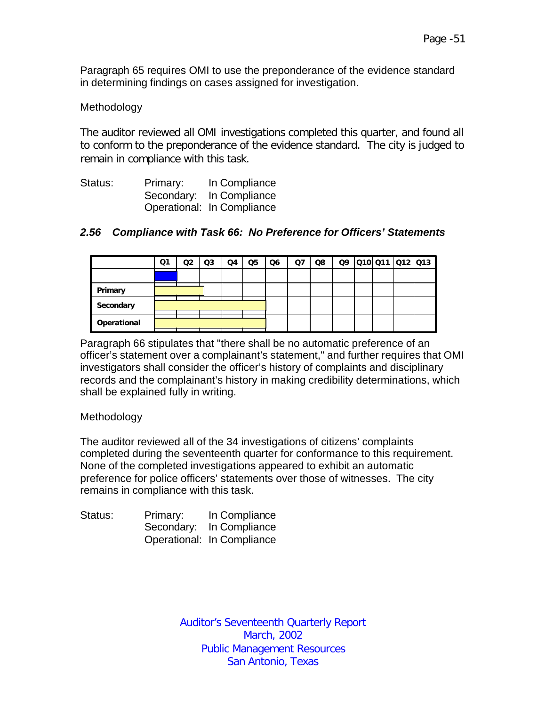Paragraph 65 requires OMI to use the preponderance of the evidence standard in determining findings on cases assigned for investigation.

## Methodology

The auditor reviewed all OMI investigations completed this quarter, and found all to conform to the preponderance of the evidence standard. The city is judged to remain in compliance with this task.

| Status: | Primary: | In Compliance              |
|---------|----------|----------------------------|
|         |          | Secondary: In Compliance   |
|         |          | Operational: In Compliance |

## *2.56 Compliance with Task 66: No Preference for Officers' Statements*

|             | Ο1 | Q2 | Q3 | Q4 | Q5 | Q6 | Q7 | Q8 |  | Q9 010 011 012 013 |  |
|-------------|----|----|----|----|----|----|----|----|--|--------------------|--|
|             |    |    |    |    |    |    |    |    |  |                    |  |
| Primary     |    |    |    |    |    |    |    |    |  |                    |  |
| Secondary   |    |    |    |    |    |    |    |    |  |                    |  |
| Operational |    |    |    |    |    |    |    |    |  |                    |  |

Paragraph 66 stipulates that "there shall be no automatic preference of an officer's statement over a complainant's statement," and further requires that OMI investigators shall consider the officer's history of complaints and disciplinary records and the complainant's history in making credibility determinations, which shall be explained fully in writing.

#### Methodology

The auditor reviewed all of the 34 investigations of citizens' complaints completed during the seventeenth quarter for conformance to this requirement. None of the completed investigations appeared to exhibit an automatic preference for police officers' statements over those of witnesses. The city remains in compliance with this task.

| Status: | Primary: | In Compliance              |
|---------|----------|----------------------------|
|         |          | Secondary: In Compliance   |
|         |          | Operational: In Compliance |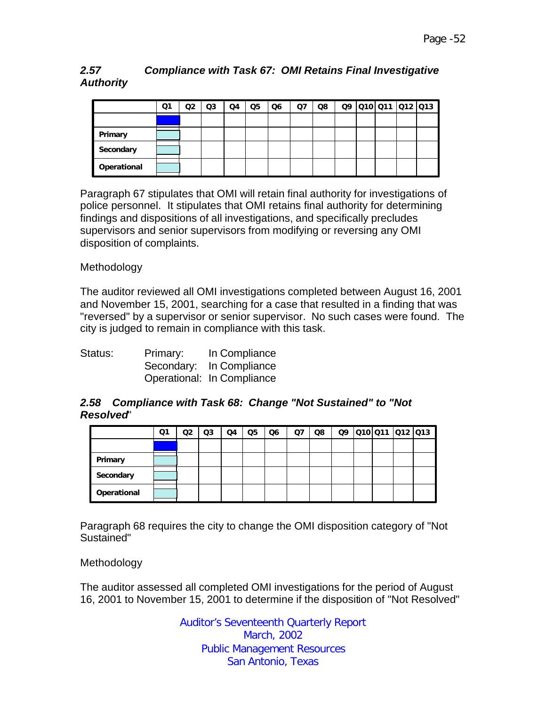## *2.57 Compliance with Task 67: OMI Retains Final Investigative Authority*

|             | Q1 | Q2 | Q <sub>3</sub> | Q4 | Q <sub>5</sub> | Q6 | Q7 | Q8 |  | Q9 010 011 012 013 |  |
|-------------|----|----|----------------|----|----------------|----|----|----|--|--------------------|--|
|             |    |    |                |    |                |    |    |    |  |                    |  |
| Primary     |    |    |                |    |                |    |    |    |  |                    |  |
| Secondary   |    |    |                |    |                |    |    |    |  |                    |  |
| Operational |    |    |                |    |                |    |    |    |  |                    |  |

Paragraph 67 stipulates that OMI will retain final authority for investigations of police personnel. It stipulates that OMI retains final authority for determining findings and dispositions of all investigations, and specifically precludes supervisors and senior supervisors from modifying or reversing any OMI disposition of complaints.

## Methodology

The auditor reviewed all OMI investigations completed between August 16, 2001 and November 15, 2001, searching for a case that resulted in a finding that was "reversed" by a supervisor or senior supervisor. No such cases were found. The city is judged to remain in compliance with this task.

| Status: | Primary: | In Compliance              |
|---------|----------|----------------------------|
|         |          | Secondary: In Compliance   |
|         |          | Operational: In Compliance |

#### *2.58 Compliance with Task 68: Change "Not Sustained" to "Not Resolved*"

|             | Q1 | Q2 | Q <sub>3</sub> | Q4 | Q <sub>5</sub> | Q <sub>6</sub> | Q7 | Q8 | Q9 | 010 011 012 013 |  |
|-------------|----|----|----------------|----|----------------|----------------|----|----|----|-----------------|--|
|             |    |    |                |    |                |                |    |    |    |                 |  |
| Primary     |    |    |                |    |                |                |    |    |    |                 |  |
| Secondary   |    |    |                |    |                |                |    |    |    |                 |  |
| Operational |    |    |                |    |                |                |    |    |    |                 |  |

Paragraph 68 requires the city to change the OMI disposition category of "Not Sustained"

#### Methodology

The auditor assessed all completed OMI investigations for the period of August 16, 2001 to November 15, 2001 to determine if the disposition of "Not Resolved"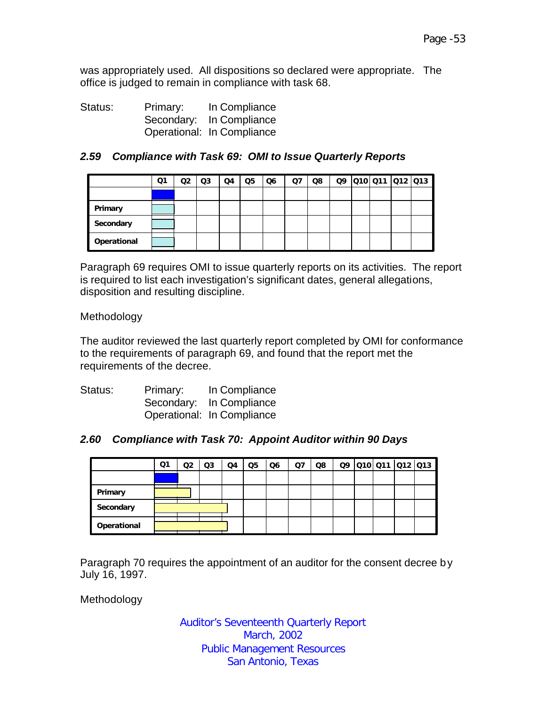was appropriately used. All dispositions so declared were appropriate. The office is judged to remain in compliance with task 68.

Status: Primary: In Compliance Secondary: In Compliance Operational: In Compliance

## *2.59 Compliance with Task 69: OMI to Issue Quarterly Reports*

|             | Q1 | Q2 | Q <sub>3</sub> | Q4 | Q5 | Q6 | Q7 | Q8 |  | Q9 010 011 012 013 |  |
|-------------|----|----|----------------|----|----|----|----|----|--|--------------------|--|
|             |    |    |                |    |    |    |    |    |  |                    |  |
| Primary     |    |    |                |    |    |    |    |    |  |                    |  |
| Secondary   |    |    |                |    |    |    |    |    |  |                    |  |
| Operational |    |    |                |    |    |    |    |    |  |                    |  |

Paragraph 69 requires OMI to issue quarterly reports on its activities. The report is required to list each investigation's significant dates, general allegations, disposition and resulting discipline.

Methodology

The auditor reviewed the last quarterly report completed by OMI for conformance to the requirements of paragraph 69, and found that the report met the requirements of the decree.

| Status: | Primary: | In Compliance              |
|---------|----------|----------------------------|
|         |          | Secondary: In Compliance   |
|         |          | Operational: In Compliance |

#### *2.60 Compliance with Task 70: Appoint Auditor within 90 Days*

|             | Q1 | Q2 | Q3 | Q4 | Q5 | Q6 | Ω7 | Q8 |  | Q9 010 011 012 013 |  |
|-------------|----|----|----|----|----|----|----|----|--|--------------------|--|
|             |    |    |    |    |    |    |    |    |  |                    |  |
| Primary     |    |    |    |    |    |    |    |    |  |                    |  |
| Secondary   |    |    |    |    |    |    |    |    |  |                    |  |
| Operational |    |    |    |    |    |    |    |    |  |                    |  |

Paragraph 70 requires the appointment of an auditor for the consent decree by July 16, 1997.

Methodology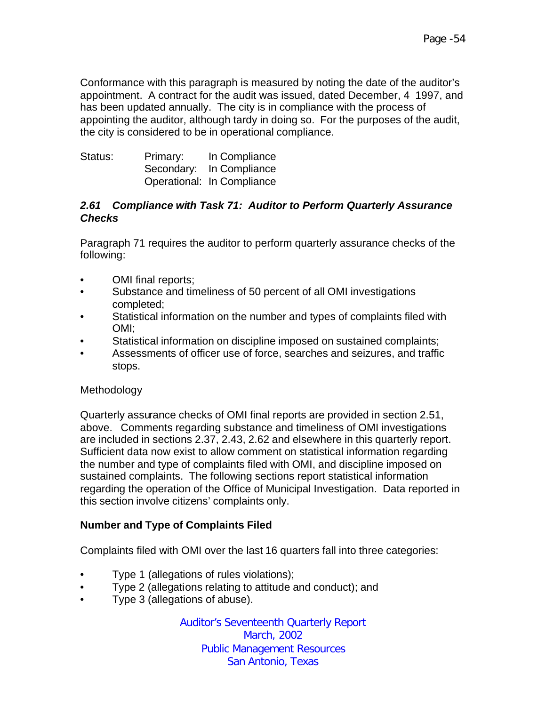Conformance with this paragraph is measured by noting the date of the auditor's appointment. A contract for the audit was issued, dated December, 4 1997, and has been updated annually. The city is in compliance with the process of appointing the auditor, although tardy in doing so. For the purposes of the audit, the city is considered to be in operational compliance.

| Status: | Primary: | In Compliance              |
|---------|----------|----------------------------|
|         |          | Secondary: In Compliance   |
|         |          | Operational: In Compliance |

## *2.61 Compliance with Task 71: Auditor to Perform Quarterly Assurance Checks*

Paragraph 71 requires the auditor to perform quarterly assurance checks of the following:

- OMI final reports;
- Substance and timeliness of 50 percent of all OMI investigations completed;
- Statistical information on the number and types of complaints filed with OMI;
- Statistical information on discipline imposed on sustained complaints;
- Assessments of officer use of force, searches and seizures, and traffic stops.

# Methodology

Quarterly assurance checks of OMI final reports are provided in section 2.51, above. Comments regarding substance and timeliness of OMI investigations are included in sections 2.37, 2.43, 2.62 and elsewhere in this quarterly report. Sufficient data now exist to allow comment on statistical information regarding the number and type of complaints filed with OMI, and discipline imposed on sustained complaints. The following sections report statistical information regarding the operation of the Office of Municipal Investigation. Data reported in this section involve citizens' complaints only.

# **Number and Type of Complaints Filed**

Complaints filed with OMI over the last 16 quarters fall into three categories:

- Type 1 (allegations of rules violations);
- Type 2 (allegations relating to attitude and conduct); and
- Type 3 (allegations of abuse).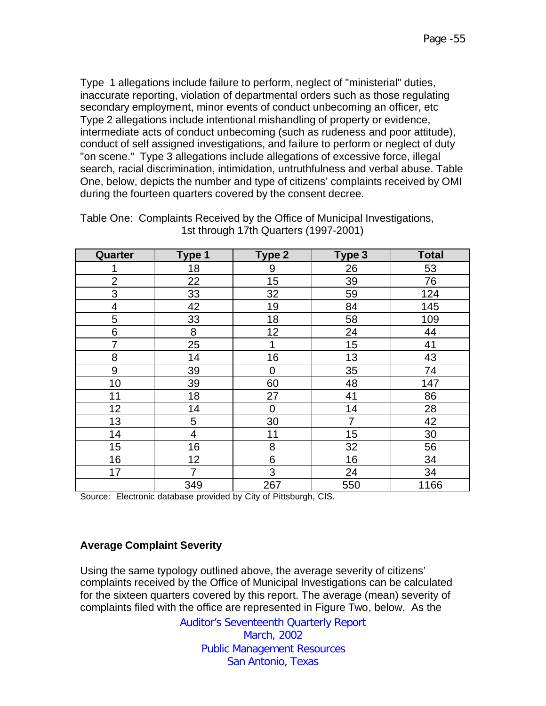Type 1 allegations include failure to perform, neglect of "ministerial" duties, inaccurate reporting, violation of departmental orders such as those regulating secondary employment, minor events of conduct unbecoming an officer, etc Type 2 allegations include intentional mishandling of property or evidence, intermediate acts of conduct unbecoming (such as rudeness and poor attitude), conduct of self assigned investigations, and failure to perform or neglect of duty "on scene." Type 3 allegations include allegations of excessive force, illegal search, racial discrimination, intimidation, untruthfulness and verbal abuse. Table One, below, depicts the number and type of citizens' complaints received by OMI during the fourteen quarters covered by the consent decree.

| Quarter                 | Type 1         | Type 2 | Type 3 | <b>Total</b> |
|-------------------------|----------------|--------|--------|--------------|
| 1                       | 18             | 9      | 26     | 53           |
| $\overline{2}$          | 22             | 15     | 39     | 76           |
| 3                       | 33             | 32     | 59     | 124          |
| $\overline{\mathbf{4}}$ | 42             | 19     | 84     | 145          |
| 5                       | 33             | 18     | 58     | 109          |
| 6                       | 8              | 12     | 24     | 44           |
| 7                       | 25             | 1      | 15     | 41           |
| 8                       | 14             | 16     | 13     | 43           |
| $9\,$                   | 39             | 0      | 35     | 74           |
| 10                      | 39             | 60     | 48     | 147          |
| 11                      | 18             | 27     | 41     | 86           |
| 12                      | 14             | 0      | 14     | 28           |
| 13                      | 5              | 30     | 7      | 42           |
| 14                      | $\overline{4}$ | 11     | 15     | 30           |
| 15                      | 16             | 8      | 32     | 56           |
| 16                      | 12             | 6      | 16     | 34           |
| 17                      | 7              | 3      | 24     | 34           |
|                         | 349            | 267    | 550    | 1166         |

Table One: Complaints Received by the Office of Municipal Investigations, 1st through 17th Quarters (1997-2001)

Source: Electronic database provided by City of Pittsburgh, CIS.

#### **Average Complaint Severity**

Using the same typology outlined above, the average severity of citizens' complaints received by the Office of Municipal Investigations can be calculated for the sixteen quarters covered by this report. The average (mean) severity of complaints filed with the office are represented in Figure Two, below. As the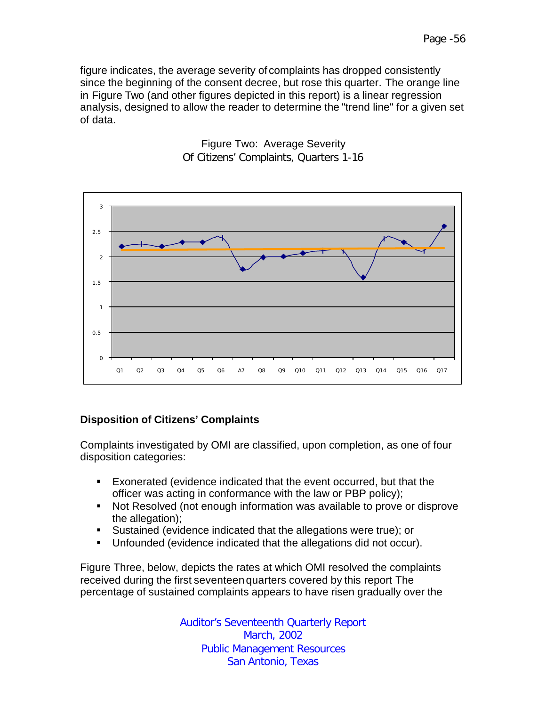

Figure Two: Average Severity Of Citizens' Complaints, Quarters 1-16

# **Disposition of Citizens' Complaints**

Complaints investigated by OMI are classified, upon completion, as one of four disposition categories:

- ß Exonerated (evidence indicated that the event occurred, but that the officer was acting in conformance with the law or PBP policy);
- Not Resolved (not enough information was available to prove or disprove the allegation);
- **Sustained (evidence indicated that the allegations were true); or**
- **Unfounded (evidence indicated that the allegations did not occur).**

Figure Three, below, depicts the rates at which OMI resolved the complaints received during the first seventeen quarters covered by this report The percentage of sustained complaints appears to have risen gradually over the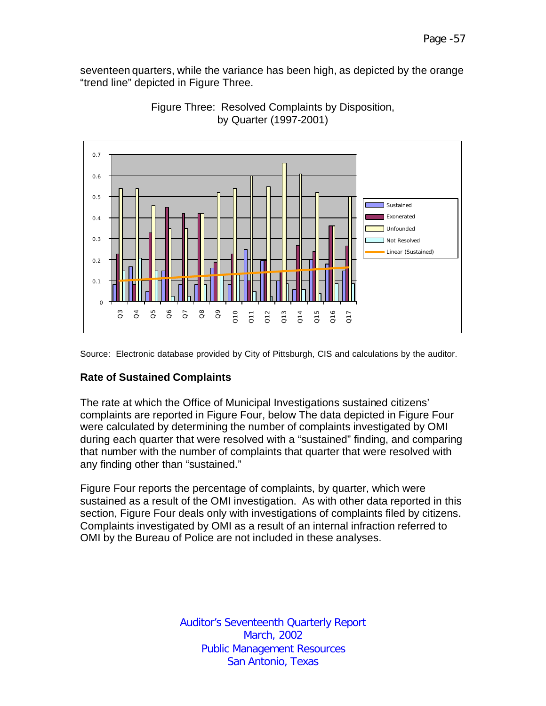seventeen quarters, while the variance has been high, as depicted by the orange "trend line" depicted in Figure Three.



Figure Three: Resolved Complaints by Disposition, by Quarter (1997-2001)

Source: Electronic database provided by City of Pittsburgh, CIS and calculations by the auditor.

## **Rate of Sustained Complaints**

The rate at which the Office of Municipal Investigations sustained citizens' complaints are reported in Figure Four, below The data depicted in Figure Four were calculated by determining the number of complaints investigated by OMI during each quarter that were resolved with a "sustained" finding, and comparing that number with the number of complaints that quarter that were resolved with any finding other than "sustained."

Figure Four reports the percentage of complaints, by quarter, which were sustained as a result of the OMI investigation. As with other data reported in this section, Figure Four deals only with investigations of complaints filed by citizens. Complaints investigated by OMI as a result of an internal infraction referred to OMI by the Bureau of Police are not included in these analyses.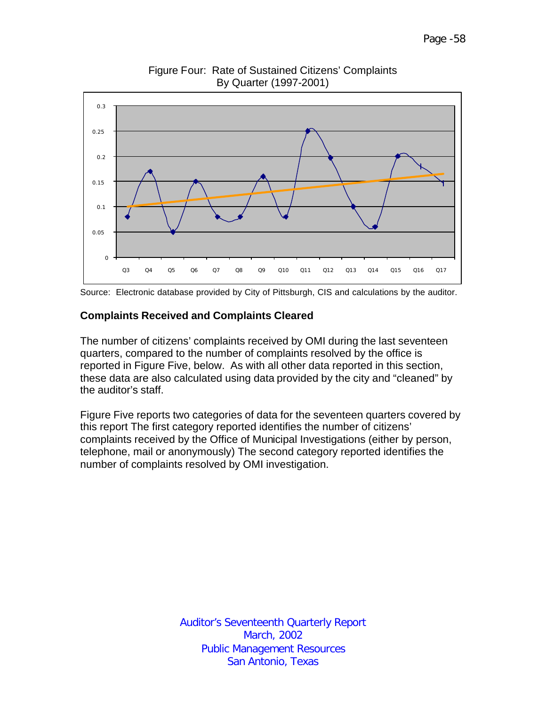

Figure Four: Rate of Sustained Citizens' Complaints By Quarter (1997-2001)



#### **Complaints Received and Complaints Cleared**

The number of citizens' complaints received by OMI during the last seventeen quarters, compared to the number of complaints resolved by the office is reported in Figure Five, below. As with all other data reported in this section, these data are also calculated using data provided by the city and "cleaned" by the auditor's staff.

Figure Five reports two categories of data for the seventeen quarters covered by this report The first category reported identifies the number of citizens' complaints received by the Office of Municipal Investigations (either by person, telephone, mail or anonymously) The second category reported identifies the number of complaints resolved by OMI investigation.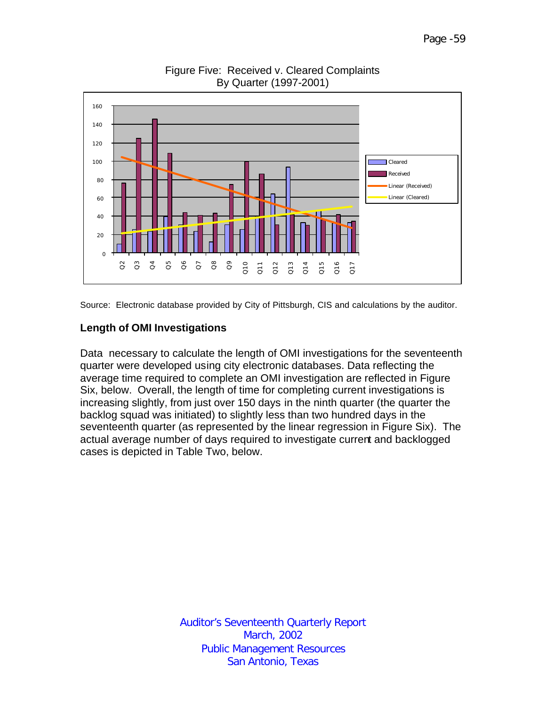

Figure Five: Received v. Cleared Complaints By Quarter (1997-2001)

Source: Electronic database provided by City of Pittsburgh, CIS and calculations by the auditor.

## **Length of OMI Investigations**

Data necessary to calculate the length of OMI investigations for the seventeenth quarter were developed using city electronic databases. Data reflecting the average time required to complete an OMI investigation are reflected in Figure Six, below. Overall, the length of time for completing current investigations is increasing slightly, from just over 150 days in the ninth quarter (the quarter the backlog squad was initiated) to slightly less than two hundred days in the seventeenth quarter (as represented by the linear regression in Figure Six). The actual average number of days required to investigate current and backlogged cases is depicted in Table Two, below.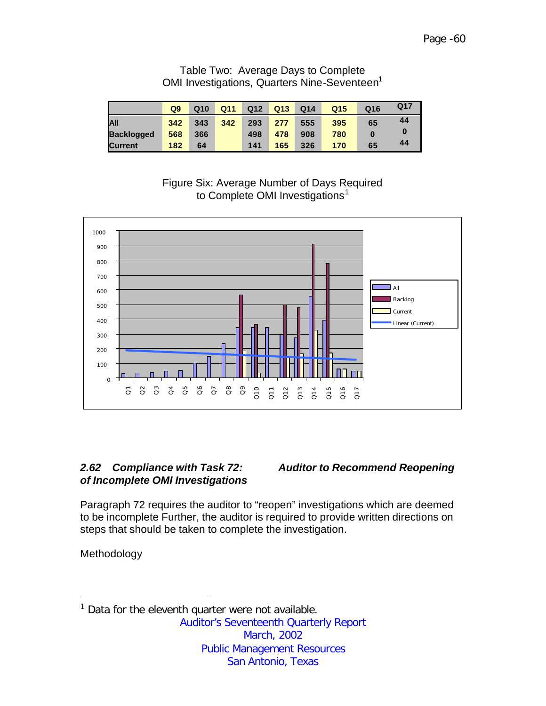Table Two: Average Days to Complete OMI Investigations, Quarters Nine-Seventeen<sup>1</sup>

|                   | Q <sub>9</sub> | Q <sub>10</sub> | Q11 | Q <sub>12</sub> | Q <sub>13</sub> | Q <sub>14</sub> | Q <sub>15</sub> | Q16 | Q17 |
|-------------------|----------------|-----------------|-----|-----------------|-----------------|-----------------|-----------------|-----|-----|
| IAII              | 342            | 343             | 342 | 293             | 277             | 555             | 395             | 65  | 44  |
| <b>Backlogged</b> | 568            | 366             |     | 498             | 478             | 908             | 780             |     |     |
| <b>Current</b>    | 182            | 64              |     | 141             | 165             | 326             | 170             | 65  | 44  |

Figure Six: Average Number of Days Required to Complete OMI Investigations<sup>1</sup>



# *of Incomplete OMI Investigations*

*2.62 Compliance with Task 72: Auditor to Recommend Reopening* 

Paragraph 72 requires the auditor to "reopen" investigations which are deemed to be incomplete Further, the auditor is required to provide written directions on steps that should be taken to complete the investigation.

Methodology

Auditor's Seventeenth Quarterly Report March, 2002 Public Management Resources San Antonio, Texas  $\overline{a}$  $1$  Data for the eleventh quarter were not available.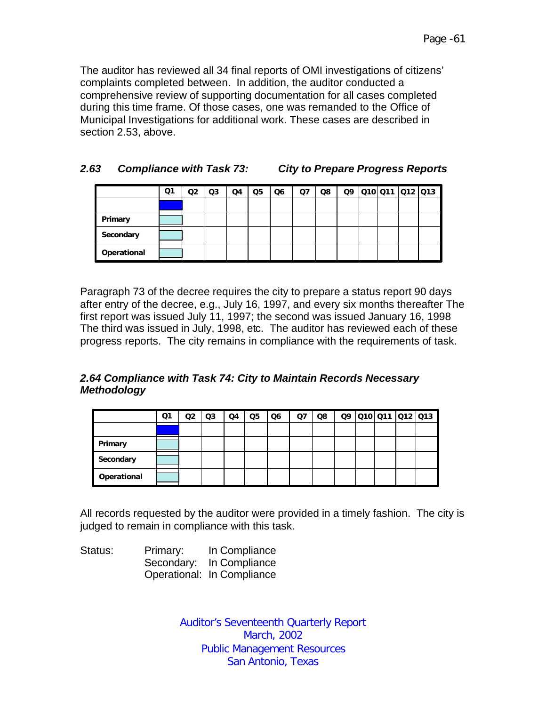The auditor has reviewed all 34 final reports of OMI investigations of citizens' complaints completed between. In addition, the auditor conducted a comprehensive review of supporting documentation for all cases completed during this time frame. Of those cases, one was remanded to the Office of Municipal Investigations for additional work. These cases are described in section 2.53, above.

| 2.63 | <b>Compliance with Task 73:</b> | <b>City to Prepare Progress Reports</b> |
|------|---------------------------------|-----------------------------------------|
|------|---------------------------------|-----------------------------------------|

|             | Ο1 | Q2 | Q3 | Q4 | Q <sub>5</sub> | Q6 | Q7 | Q8 | Q9 | Q10 Q11  Q12  Q13 |  |
|-------------|----|----|----|----|----------------|----|----|----|----|-------------------|--|
|             |    |    |    |    |                |    |    |    |    |                   |  |
| Primary     |    |    |    |    |                |    |    |    |    |                   |  |
| Secondary   |    |    |    |    |                |    |    |    |    |                   |  |
| Operational |    |    |    |    |                |    |    |    |    |                   |  |

Paragraph 73 of the decree requires the city to prepare a status report 90 days after entry of the decree, e.g., July 16, 1997, and every six months thereafter The first report was issued July 11, 1997; the second was issued January 16, 1998 The third was issued in July, 1998, etc. The auditor has reviewed each of these progress reports. The city remains in compliance with the requirements of task.

## *2.64 Compliance with Task 74: City to Maintain Records Necessary Methodology*

|             | Q1 | Q2 | Q <sub>3</sub> | Q4 | Q <sub>5</sub> | Q <sub>6</sub> | Q7 | Q8 | Q9 |  | 010 011 012 013 |
|-------------|----|----|----------------|----|----------------|----------------|----|----|----|--|-----------------|
|             |    |    |                |    |                |                |    |    |    |  |                 |
| Primary     |    |    |                |    |                |                |    |    |    |  |                 |
| Secondary   |    |    |                |    |                |                |    |    |    |  |                 |
| Operational |    |    |                |    |                |                |    |    |    |  |                 |

All records requested by the auditor were provided in a timely fashion. The city is judged to remain in compliance with this task.

| Status: | Primary: | In Compliance              |
|---------|----------|----------------------------|
|         |          | Secondary: In Compliance   |
|         |          | Operational: In Compliance |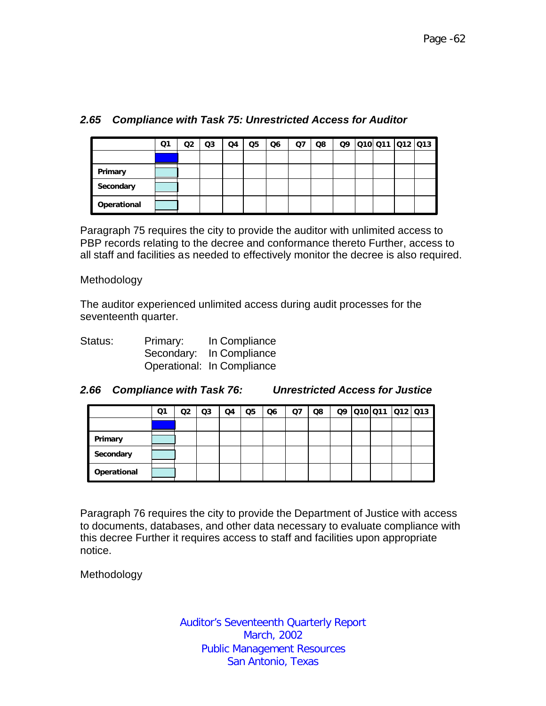|             | Ο1 | Q2 | Q <sub>3</sub> | Q4 | Q <sub>5</sub> | Q <sub>6</sub> | Q7 | Q8 | Q9 | Q10 Q11 Q12 Q13 |  |
|-------------|----|----|----------------|----|----------------|----------------|----|----|----|-----------------|--|
|             |    |    |                |    |                |                |    |    |    |                 |  |
| Primary     |    |    |                |    |                |                |    |    |    |                 |  |
| Secondary   |    |    |                |    |                |                |    |    |    |                 |  |
| Operational |    |    |                |    |                |                |    |    |    |                 |  |

# *2.65 Compliance with Task 75: Unrestricted Access for Auditor*

Paragraph 75 requires the city to provide the auditor with unlimited access to PBP records relating to the decree and conformance thereto Further, access to all staff and facilities as needed to effectively monitor the decree is also required.

#### Methodology

The auditor experienced unlimited access during audit processes for the seventeenth quarter.

| Status: | Primary: | In Compliance              |
|---------|----------|----------------------------|
|         |          | Secondary: In Compliance   |
|         |          | Operational: In Compliance |

| 2.66 Compliance with Task 76: | <b>Unrestricted Access for Justice</b> |
|-------------------------------|----------------------------------------|
|                               |                                        |

|             | Q1 | Q2 | Q3 | Q4 | Q <sub>5</sub> | Q <sub>6</sub> | Q7 | Q8 |  | 09 010 011 012 013 |  |
|-------------|----|----|----|----|----------------|----------------|----|----|--|--------------------|--|
|             |    |    |    |    |                |                |    |    |  |                    |  |
| Primary     |    |    |    |    |                |                |    |    |  |                    |  |
| Secondary   |    |    |    |    |                |                |    |    |  |                    |  |
| Operational |    |    |    |    |                |                |    |    |  |                    |  |

Paragraph 76 requires the city to provide the Department of Justice with access to documents, databases, and other data necessary to evaluate compliance with this decree Further it requires access to staff and facilities upon appropriate notice.

Methodology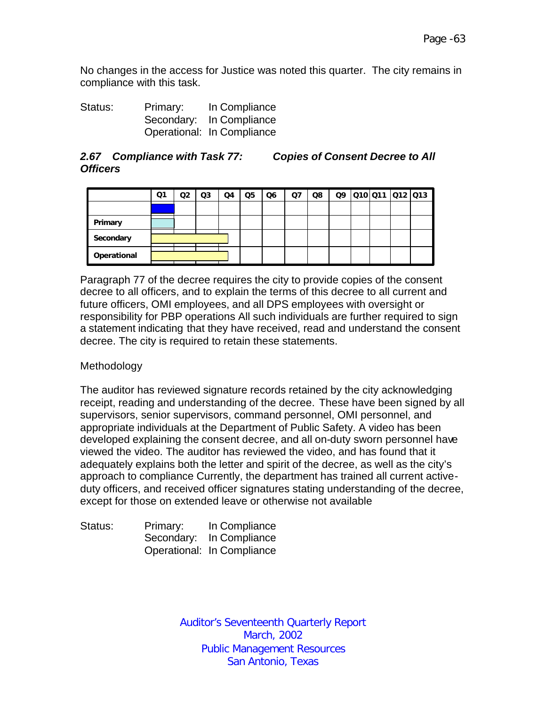No changes in the access for Justice was noted this quarter. The city remains in compliance with this task.

Status: Primary: In Compliance Secondary: In Compliance Operational: In Compliance

#### *2.67 Compliance with Task 77: Copies of Consent Decree to All Officers*

|             | Ο1 | O2 | Q3 | Q4 | Q <sub>5</sub> | Q <sub>6</sub> | Q7 | Q8 | Q9 | Q10 Q11 Q12 Q13 |  |
|-------------|----|----|----|----|----------------|----------------|----|----|----|-----------------|--|
|             |    |    |    |    |                |                |    |    |    |                 |  |
| Primary     |    |    |    |    |                |                |    |    |    |                 |  |
| Secondary   |    |    |    |    |                |                |    |    |    |                 |  |
| Operational |    |    |    |    |                |                |    |    |    |                 |  |

Paragraph 77 of the decree requires the city to provide copies of the consent decree to all officers, and to explain the terms of this decree to all current and future officers, OMI employees, and all DPS employees with oversight or responsibility for PBP operations All such individuals are further required to sign a statement indicating that they have received, read and understand the consent decree. The city is required to retain these statements.

#### Methodology

The auditor has reviewed signature records retained by the city acknowledging receipt, reading and understanding of the decree. These have been signed by all supervisors, senior supervisors, command personnel, OMI personnel, and appropriate individuals at the Department of Public Safety. A video has been developed explaining the consent decree, and all on-duty sworn personnel have viewed the video. The auditor has reviewed the video, and has found that it adequately explains both the letter and spirit of the decree, as well as the city's approach to compliance Currently, the department has trained all current activeduty officers, and received officer signatures stating understanding of the decree, except for those on extended leave or otherwise not available

| Status: | Primary: | In Compliance              |
|---------|----------|----------------------------|
|         |          | Secondary: In Compliance   |
|         |          | Operational: In Compliance |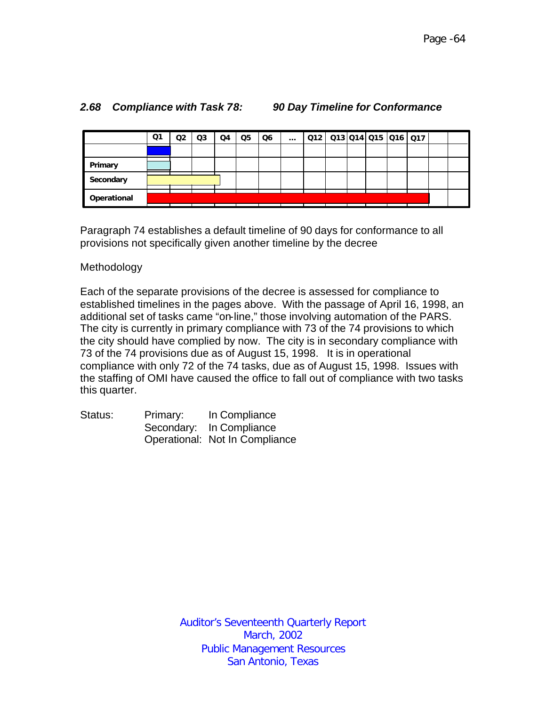|             | Q1 | Q <sub>2</sub> | Q3 | Q4 | Q5 | Q6 | $\cdots$ | 012 013 014 015 016 017 |  |  |  |  |
|-------------|----|----------------|----|----|----|----|----------|-------------------------|--|--|--|--|
|             |    |                |    |    |    |    |          |                         |  |  |  |  |
| Primary     |    |                |    |    |    |    |          |                         |  |  |  |  |
| Secondary   |    |                |    |    |    |    |          |                         |  |  |  |  |
| Operational |    |                |    |    |    |    |          |                         |  |  |  |  |

#### *2.68 Compliance with Task 78: 90 Day Timeline for Conformance*

Paragraph 74 establishes a default timeline of 90 days for conformance to all provisions not specifically given another timeline by the decree

#### Methodology

Each of the separate provisions of the decree is assessed for compliance to established timelines in the pages above. With the passage of April 16, 1998, an additional set of tasks came "on-line," those involving automation of the PARS. The city is currently in primary compliance with 73 of the 74 provisions to which the city should have complied by now. The city is in secondary compliance with 73 of the 74 provisions due as of August 15, 1998. It is in operational compliance with only 72 of the 74 tasks, due as of August 15, 1998. Issues with the staffing of OMI have caused the office to fall out of compliance with two tasks this quarter.

| Status: | Primary: | In Compliance                  |  |  |  |  |  |
|---------|----------|--------------------------------|--|--|--|--|--|
|         |          | Secondary: In Compliance       |  |  |  |  |  |
|         |          | Operational: Not In Compliance |  |  |  |  |  |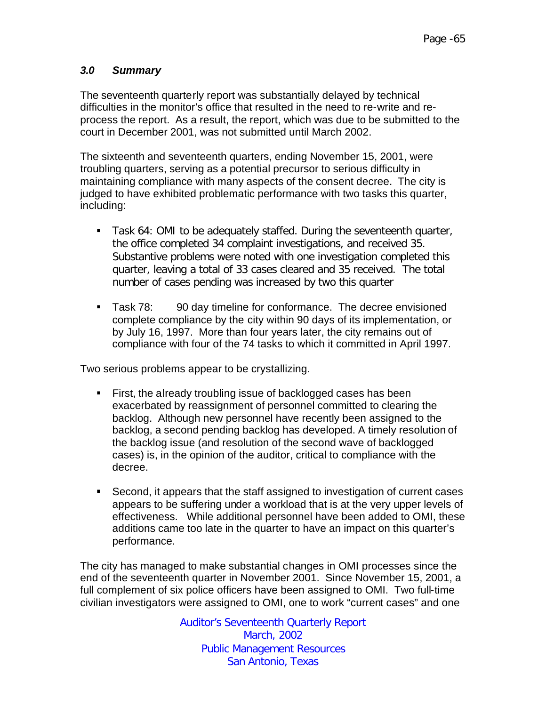# *3.0 Summary*

The seventeenth quarterly report was substantially delayed by technical difficulties in the monitor's office that resulted in the need to re-write and reprocess the report. As a result, the report, which was due to be submitted to the court in December 2001, was not submitted until March 2002.

The sixteenth and seventeenth quarters, ending November 15, 2001, were troubling quarters, serving as a potential precursor to serious difficulty in maintaining compliance with many aspects of the consent decree. The city is judged to have exhibited problematic performance with two tasks this quarter, including:

- **Task 64: OMI to be adequately staffed. During the seventeenth quarter,** the office completed 34 complaint investigations, and received 35. Substantive problems were noted with one investigation completed this quarter, leaving a total of 33 cases cleared and 35 received. The total number of cases pending was increased by two this quarter
- **EXECO** Task 78: 90 day timeline for conformance. The decree envisioned complete compliance by the city within 90 days of its implementation, or by July 16, 1997. More than four years later, the city remains out of compliance with four of the 74 tasks to which it committed in April 1997.

Two serious problems appear to be crystallizing.

- **First, the already troubling issue of backlogged cases has been** exacerbated by reassignment of personnel committed to clearing the backlog. Although new personnel have recently been assigned to the backlog, a second pending backlog has developed. A timely resolution of the backlog issue (and resolution of the second wave of backlogged cases) is, in the opinion of the auditor, critical to compliance with the decree.
- Second, it appears that the staff assigned to investigation of current cases appears to be suffering under a workload that is at the very upper levels of effectiveness. While additional personnel have been added to OMI, these additions came too late in the quarter to have an impact on this quarter's performance.

The city has managed to make substantial changes in OMI processes since the end of the seventeenth quarter in November 2001. Since November 15, 2001, a full complement of six police officers have been assigned to OMI. Two full-time civilian investigators were assigned to OMI, one to work "current cases" and one